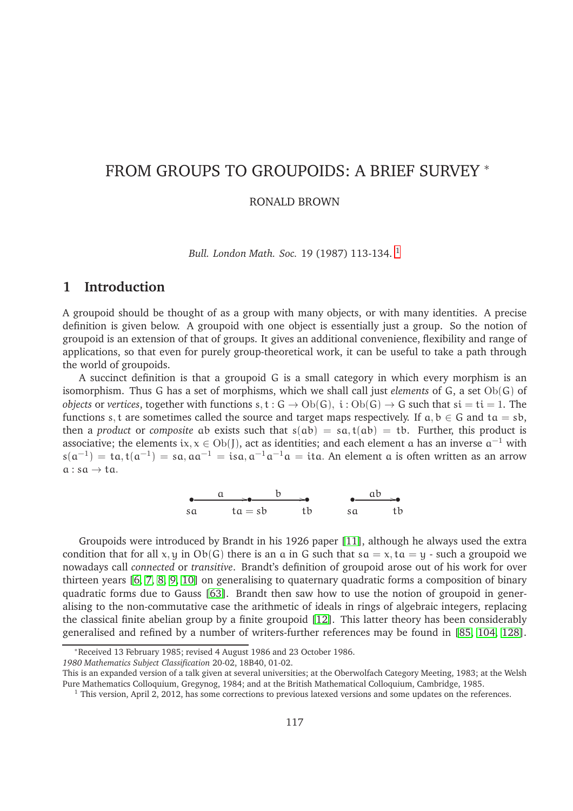# FROM GROUPS TO GROUPOIDS: A BRIEF SURVEY \*

#### RONALD BROWN

*Bull. London Math. Soc.* 19 (1987) 113-134. [1](#page-0-0)

### **1 Introduction**

A groupoid should be thought of as a group with many objects, or with many identities. A precise definition is given below. A groupoid with one object is essentially just a group. So the notion of groupoid is an extension of that of groups. It gives an additional convenience, flexibility and range of applications, so that even for purely group-theoretical work, it can be useful to take a path through the world of groupoids.

A succinct definition is that a groupoid G is a small category in which every morphism is an isomorphism. Thus G has a set of morphisms, which we shall call just *elements* of G, a set Ob(G) of *objects* or *vertices*, together with functions  $s, t : G \to Ob(G), i : Ob(G) \to G$  such that  $si = ti = 1$ . The functions s, t are sometimes called the source and target maps respectively. If  $a, b \in G$  and  $ta = sb$ , then a *product* or *composite* ab exists such that  $s(ab) = sa, t(ab) = tb$ . Further, this product is associative; the elements ix,  $x \in Ob(J)$ , act as identities; and each element a has an inverse  $a^{-1}$  with  $s(a^{-1}) = ta, t(a^{-1}) = sa, aa^{-1} = isa, a^{-1}a^{-1}a = ita$ . An element a is often written as an arrow  $a : sa \rightarrow ta$ .

$$
\begin{array}{ccc}\n & a & b \\
\hline\n & \text{sa} & \text{ta} = \text{sb} \\
 & \text{ta} = \text{sb} \\
 & \text{tb} \\
 & \text{sa} \\
 & \text{tb}\n\end{array}
$$

Groupoids were introduced by Brandt in his 1926 paper [\[11\]](#page-18-0), although he always used the extra condition that for all x, y in Ob(G) there is an a in G such that  $sa = x$ ,  $ta = y$  - such a groupoid we nowadays call *connected* or *transitive*. Brandt's definition of groupoid arose out of his work for over thirteen years [\[6,](#page-18-1) [7,](#page-18-2) [8,](#page-18-3) [9,](#page-18-4) [10\]](#page-18-5) on generalising to quaternary quadratic forms a composition of binary quadratic forms due to Gauss [\[63\]](#page-21-0). Brandt then saw how to use the notion of groupoid in generalising to the non-commutative case the arithmetic of ideals in rings of algebraic integers, replacing the classical finite abelian group by a finite groupoid [\[12\]](#page-18-6). This latter theory has been considerably generalised and refined by a number of writers-further references may be found in [\[85,](#page-22-0) [104,](#page-23-0) [128\]](#page-24-0).

<sup>∗</sup>Received 13 February 1985; revised 4 August 1986 and 23 October 1986.

*<sup>1980</sup> Mathematics Subject Classification* 20-02, 18B40, 01-02.

This is an expanded version of a talk given at several universities; at the Oberwolfach Category Meeting, 1983; at the Welsh Pure Mathematics Colloquium, Gregynog, 1984; and at the British Mathematical Colloquium, Cambridge, 1985.

<span id="page-0-0"></span> $1$  This version, April 2, 2012, has some corrections to previous latexed versions and some updates on the references.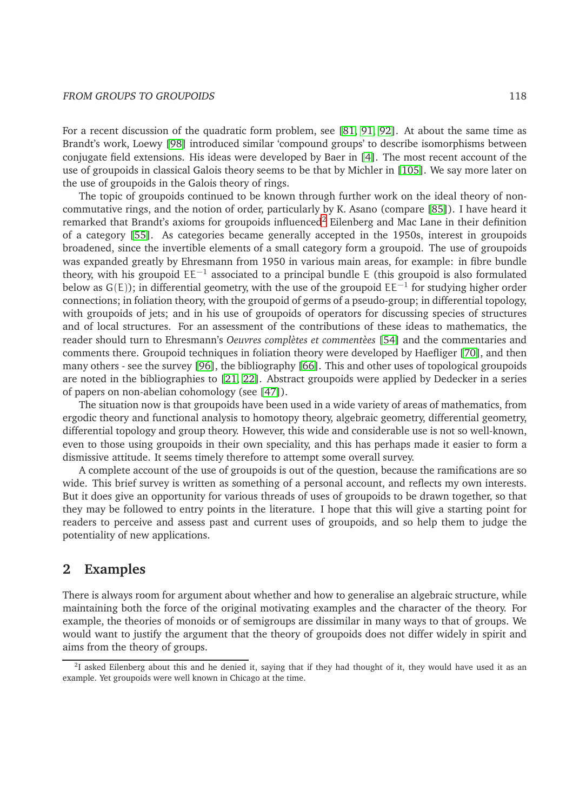For a recent discussion of the quadratic form problem, see [\[81,](#page-22-1) [91,](#page-22-2) [92\]](#page-22-3). At about the same time as Brandt's work, Loewy [\[98\]](#page-23-1) introduced similar 'compound groups' to describe isomorphisms between conjugate field extensions. His ideas were developed by Baer in [\[4\]](#page-17-0). The most recent account of the use of groupoids in classical Galois theory seems to be that by Michler in [\[105\]](#page-23-2). We say more later on the use of groupoids in the Galois theory of rings.

The topic of groupoids continued to be known through further work on the ideal theory of noncommutative rings, and the notion of order, particularly by K. Asano (compare [\[85\]](#page-22-0)). I have heard it remarked that Brandt's axioms for groupoids influenced<sup>[2](#page-1-0)</sup> Eilenberg and Mac Lane in their definition of a category [\[55\]](#page-21-1). As categories became generally accepted in the 1950s, interest in groupoids broadened, since the invertible elements of a small category form a groupoid. The use of groupoids was expanded greatly by Ehresmann from 1950 in various main areas, for example: in fibre bundle theory, with his groupoid  $EE^{-1}$  associated to a principal bundle E (this groupoid is also formulated below as G(E)); in differential geometry, with the use of the groupoid EE−<sup>1</sup> for studying higher order connections; in foliation theory, with the groupoid of germs of a pseudo-group; in differential topology, with groupoids of jets; and in his use of groupoids of operators for discussing species of structures and of local structures. For an assessment of the contributions of these ideas to mathematics, the reader should turn to Ehresmann's *Oeuvres complètes et commentèes* [\[54\]](#page-20-0) and the commentaries and comments there. Groupoid techniques in foliation theory were developed by Haefliger [\[70\]](#page-21-2), and then many others - see the survey [\[96\]](#page-23-3), the bibliography [\[66\]](#page-21-3). This and other uses of topological groupoids are noted in the bibliographies to [\[21,](#page-18-7) [22\]](#page-19-0). Abstract groupoids were applied by Dedecker in a series of papers on non-abelian cohomology (see [\[47\]](#page-20-1)).

The situation now is that groupoids have been used in a wide variety of areas of mathematics, from ergodic theory and functional analysis to homotopy theory, algebraic geometry, differential geometry, differential topology and group theory. However, this wide and considerable use is not so well-known, even to those using groupoids in their own speciality, and this has perhaps made it easier to form a dismissive attitude. It seems timely therefore to attempt some overall survey.

A complete account of the use of groupoids is out of the question, because the ramifications are so wide. This brief survey is written as something of a personal account, and reflects my own interests. But it does give an opportunity for various threads of uses of groupoids to be drawn together, so that they may be followed to entry points in the literature. I hope that this will give a starting point for readers to perceive and assess past and current uses of groupoids, and so help them to judge the potentiality of new applications.

## **2 Examples**

There is always room for argument about whether and how to generalise an algebraic structure, while maintaining both the force of the original motivating examples and the character of the theory. For example, the theories of monoids or of semigroups are dissimilar in many ways to that of groups. We would want to justify the argument that the theory of groupoids does not differ widely in spirit and aims from the theory of groups.

<span id="page-1-0"></span> $^{2}$ I asked Eilenberg about this and he denied it, saying that if they had thought of it, they would have used it as an example. Yet groupoids were well known in Chicago at the time.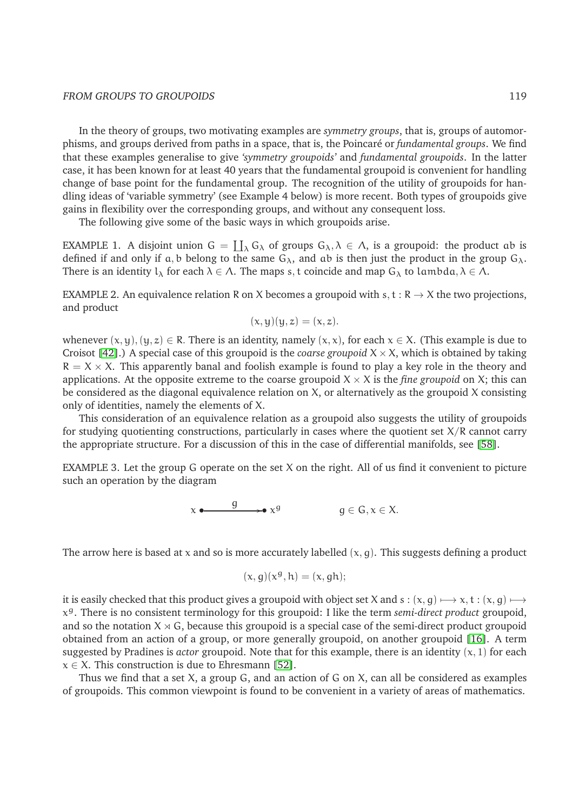In the theory of groups, two motivating examples are *symmetry groups*, that is, groups of automorphisms, and groups derived from paths in a space, that is, the Poincar´e or *fundamental groups*. We find that these examples generalise to give *'symmetry groupoids'* and *fundamental groupoids*. In the latter case, it has been known for at least 40 years that the fundamental groupoid is convenient for handling change of base point for the fundamental group. The recognition of the utility of groupoids for handling ideas of 'variable symmetry' (see Example 4 below) is more recent. Both types of groupoids give gains in flexibility over the corresponding groups, and without any consequent loss.

The following give some of the basic ways in which groupoids arise.

EXAMPLE 1. A disjoint union  $G = \coprod_{\lambda} G_{\lambda}$  of groups  $G_{\lambda}, \lambda \in \Lambda$ , is a groupoid: the product ab is defined if and only if a, b belong to the same  $G_{\lambda}$ , and ab is then just the product in the group  $G_{\lambda}$ . There is an identity  $l_\lambda$  for each  $\lambda \in \Lambda$ . The maps s, t coincide and map  $G_\lambda$  to lambda,  $\lambda \in \Lambda$ .

EXAMPLE 2. An equivalence relation R on X becomes a groupoid with s,  $t : R \to X$  the two projections, and product

$$
(x,y)(y,z)=(x,z).
$$

whenever  $(x, y)$ ,  $(y, z) \in R$ . There is an identity, namely  $(x, x)$ , for each  $x \in X$ . (This example is due to Croisot [\[42\]](#page-20-2).) A special case of this groupoid is the *coarse groupoid*  $X \times X$ , which is obtained by taking  $R = X \times X$ . This apparently banal and foolish example is found to play a key role in the theory and applications. At the opposite extreme to the coarse groupoid  $X \times X$  is the *fine groupoid* on X; this can be considered as the diagonal equivalence relation on  $X$ , or alternatively as the groupoid  $X$  consisting only of identities, namely the elements of X.

This consideration of an equivalence relation as a groupoid also suggests the utility of groupoids for studying quotienting constructions, particularly in cases where the quotient set  $X/R$  cannot carry the appropriate structure. For a discussion of this in the case of differential manifolds, see [\[58\]](#page-21-4).

EXAMPLE 3. Let the group G operate on the set X on the right. All of us find it convenient to picture such an operation by the diagram

$$
x \bullet \xrightarrow{\qquad g} x^g \qquad \qquad g \in G, x \in X.
$$

The arrow here is based at x and so is more accurately labelled  $(x, g)$ . This suggests defining a product

$$
(x,g)(x^g,h)=(x,gh);
$$

it is easily checked that this product gives a groupoid with object set X and s :  $(x, q) \mapsto x, t : (x, q) \mapsto x$ x <sup>g</sup>. There is no consistent terminology for this groupoid: I like the term *semi-direct product* groupoid, and so the notation  $X \times G$ , because this groupoid is a special case of the semi-direct product groupoid obtained from an action of a group, or more generally groupoid, on another groupoid [\[16\]](#page-18-8). A term suggested by Pradines is *actor* groupoid. Note that for this example, there is an identity  $(x, 1)$  for each  $x \in X$ . This construction is due to Ehresmann [\[52\]](#page-20-3).

Thus we find that a set  $X$ , a group G, and an action of G on  $X$ , can all be considered as examples of groupoids. This common viewpoint is found to be convenient in a variety of areas of mathematics.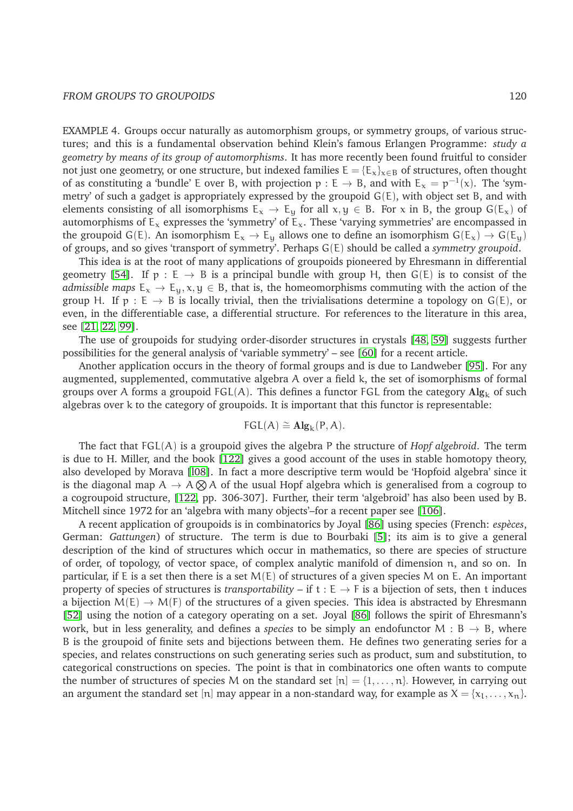EXAMPLE 4. Groups occur naturally as automorphism groups, or symmetry groups, of various structures; and this is a fundamental observation behind Klein's famous Erlangen Programme: *study a geometry by means of its group of automorphisms*. It has more recently been found fruitful to consider not just one geometry, or one structure, but indexed families  $E = \{E_x\}_{x \in B}$  of structures, often thought of as constituting a 'bundle' E over B, with projection  $p : E \to B$ , and with  $E_x = p^{-1}(x)$ . The 'symmetry' of such a gadget is appropriately expressed by the groupoid G(E), with object set B, and with elements consisting of all isomorphisms  $E_x \rightarrow E_y$  for all  $x, y \in B$ . For x in B, the group  $G(E_x)$  of automorphisms of  $E_x$  expresses the 'symmetry' of  $E_x$ . These 'varying symmetries' are encompassed in the groupoid G(E). An isomorphism  $E_x \to E_y$  allows one to define an isomorphism  $G(E_x) \to G(E_y)$ of groups, and so gives 'transport of symmetry'. Perhaps G(E) should be called a *symmetry groupoid*.

This idea is at the root of many applications of groupoids pioneered by Ehresmann in differential geometry [\[54\]](#page-20-0). If  $p : E \to B$  is a principal bundle with group H, then  $G(E)$  is to consist of the *admissible maps*  $E_x \rightarrow E_y, x, y \in B$ , that is, the homeomorphisms commuting with the action of the group H. If  $p : E \to B$  is locally trivial, then the trivialisations determine a topology on  $G(E)$ , or even, in the differentiable case, a differential structure. For references to the literature in this area, see [\[21,](#page-18-7) [22,](#page-19-0) [99\]](#page-23-4).

The use of groupoids for studying order-disorder structures in crystals [\[48,](#page-20-4) [59\]](#page-21-5) suggests further possibilities for the general analysis of 'variable symmetry' – see [\[60\]](#page-21-6) for a recent article.

Another application occurs in the theory of formal groups and is due to Landweber [\[95\]](#page-23-5). For any augmented, supplemented, commutative algebra A over a field k, the set of isomorphisms of formal groups over A forms a groupoid FGL(A). This defines a functor FGL from the category  $\text{Alg}_k$  of such algebras over k to the category of groupoids. It is important that this functor is representable:

$$
\mathsf{FGL}(A)\cong \mathbf{Alg}_k(P,A).
$$

The fact that FGL(A) is a groupoid gives the algebra P the structure of *Hopf algebroid*. The term is due to H. Miller, and the book [\[122\]](#page-24-1) gives a good account of the uses in stable homotopy theory, also developed by Morava [\[l08\]](#page-23-6). In fact a more descriptive term would be 'Hopfoid algebra' since it is the diagonal map  $A \to A \otimes A$  of the usual Hopf algebra which is generalised from a cogroup to a cogroupoid structure, [\[122,](#page-24-1) pp. 306-307]. Further, their term 'algebroid' has also been used by B. Mitchell since 1972 for an 'algebra with many objects'–for a recent paper see [\[106\]](#page-23-7).

A recent application of groupoids is in combinatorics by Joyal [\[86\]](#page-22-4) using species (French: *esp`eces*, German: *Gattungen*) of structure. The term is due to Bourbaki [\[5\]](#page-17-1); its aim is to give a general description of the kind of structures which occur in mathematics, so there are species of structure of order, of topology, of vector space, of complex analytic manifold of dimension n, and so on. In particular, if E is a set then there is a set  $M(E)$  of structures of a given species M on E. An important property of species of structures is *transportability* – if  $t : E \rightarrow F$  is a bijection of sets, then t induces a bijection  $M(E) \rightarrow M(F)$  of the structures of a given species. This idea is abstracted by Ehresmann [\[52\]](#page-20-3) using the notion of a category operating on a set. Joyal [\[86\]](#page-22-4) follows the spirit of Ehresmann's work, but in less generality, and defines a *species* to be simply an endofunctor M : B  $\rightarrow$  B, where B is the groupoid of finite sets and bijections between them. He defines two generating series for a species, and relates constructions on such generating series such as product, sum and substitution, to categorical constructions on species. The point is that in combinatorics one often wants to compute the number of structures of species M on the standard set  $[n] = \{1, \ldots, n\}$ . However, in carrying out an argument the standard set [n] may appear in a non-standard way, for example as  $X = \{x_1, \ldots, x_n\}$ .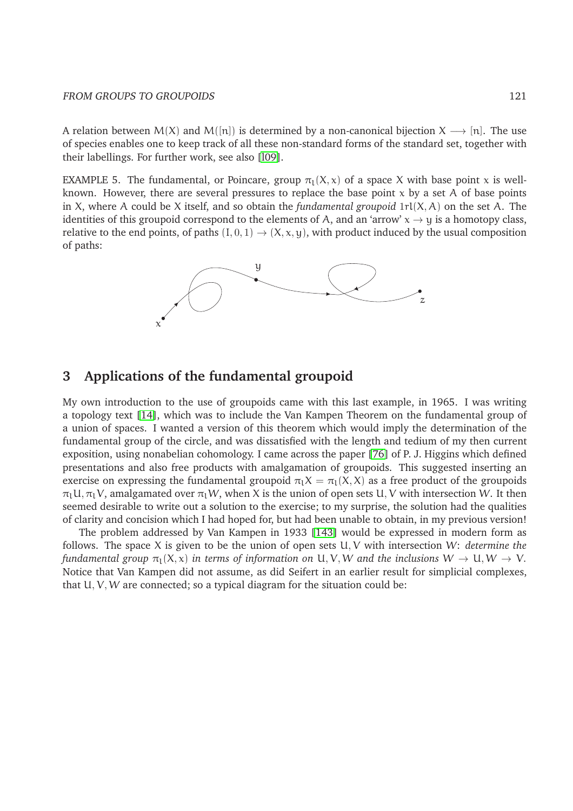#### FROM GROUPS TO GROUPOIDS **121**

A relation between  $M(X)$  and  $M([n])$  is determined by a non-canonical bijection  $X \longrightarrow [n]$ . The use of species enables one to keep track of all these non-standard forms of the standard set, together with their labellings. For further work, see also [\[l09\]](#page-23-8).

EXAMPLE 5. The fundamental, or Poincare, group  $\pi_1(X, x)$  of a space X with base point x is wellknown. However, there are several pressures to replace the base point  $x$  by a set A of base points in X, where A could be X itself, and so obtain the *fundamental groupoid* 1rl(X, A) on the set A. The identities of this groupoid correspond to the elements of A, and an 'arrow'  $x \rightarrow y$  is a homotopy class, relative to the end points, of paths  $(I, 0, 1) \rightarrow (X, x, y)$ , with product induced by the usual composition of paths:



# **3 Applications of the fundamental groupoid**

My own introduction to the use of groupoids came with this last example, in 1965. I was writing a topology text [\[14\]](#page-18-9), which was to include the Van Kampen Theorem on the fundamental group of a union of spaces. I wanted a version of this theorem which would imply the determination of the fundamental group of the circle, and was dissatisfied with the length and tedium of my then current exposition, using nonabelian cohomology. I came across the paper [\[76\]](#page-22-5) of P. J. Higgins which defined presentations and also free products with amalgamation of groupoids. This suggested inserting an exercise on expressing the fundamental groupoid  $\pi_1X = \pi_1(X,X)$  as a free product of the groupoids  $\pi_1U, \pi_1V$ , amalgamated over  $\pi_1W$ , when X is the union of open sets U, V with intersection W. It then seemed desirable to write out a solution to the exercise; to my surprise, the solution had the qualities of clarity and concision which I had hoped for, but had been unable to obtain, in my previous version!

The problem addressed by Van Kampen in 1933 [\[143\]](#page-25-0) would be expressed in modern form as follows. The space X is given to be the union of open sets U, V with intersection W: *determine the fundamental group*  $\pi_1(X, x)$  *in terms of information on* U, V, W *and the inclusions*  $W \to U$ ,  $W \to V$ . Notice that Van Kampen did not assume, as did Seifert in an earlier result for simplicial complexes, that  $U, V, W$  are connected; so a typical diagram for the situation could be: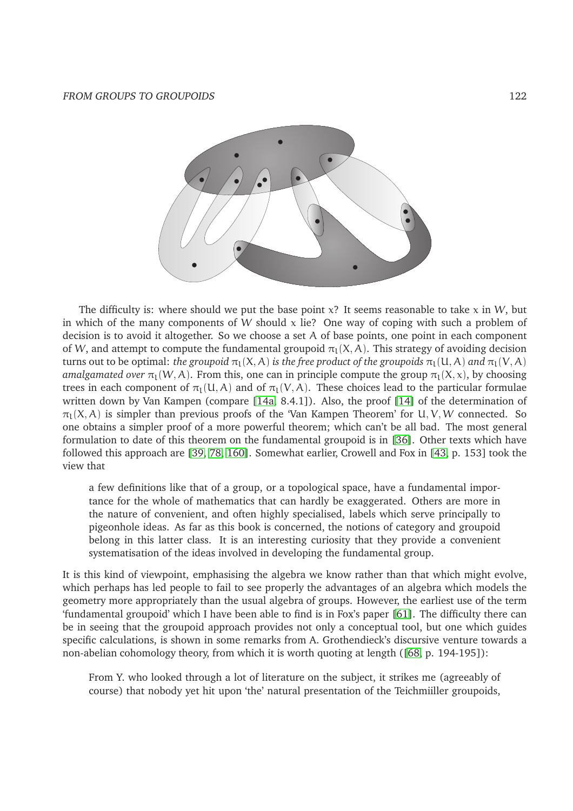

The difficulty is: where should we put the base point  $x$ ? It seems reasonable to take x in W, but in which of the many components of W should  $x$  lie? One way of coping with such a problem of decision is to avoid it altogether. So we choose a set A of base points, one point in each component of W, and attempt to compute the fundamental groupoid  $\pi_1(X, A)$ . This strategy of avoiding decision turns out to be optimal: *the groupoid*  $\pi_1(X, A)$  *is the free product of the groupoids*  $\pi_1(U, A)$  *and*  $\pi_1(V, A)$ *amalgamated over*  $\pi_1(W, A)$ . From this, one can in principle compute the group  $\pi_1(X, x)$ , by choosing trees in each component of  $\pi_1(U, A)$  and of  $\pi_1(V, A)$ . These choices lead to the particular formulae written down by Van Kampen (compare [\[14a,](#page-18-10) 8.4.1]). Also, the proof [\[14\]](#page-18-9) of the determination of  $\pi_1(X, A)$  is simpler than previous proofs of the 'Van Kampen Theorem' for U, V, W connected. So one obtains a simpler proof of a more powerful theorem; which can't be all bad. The most general formulation to date of this theorem on the fundamental groupoid is in [\[36\]](#page-19-1). Other texts which have followed this approach are [\[39,](#page-20-5) [78,](#page-22-6) [160\]](#page-26-0). Somewhat earlier, Crowell and Fox in [\[43,](#page-20-6) p. 153] took the view that

a few definitions like that of a group, or a topological space, have a fundamental importance for the whole of mathematics that can hardly be exaggerated. Others are more in the nature of convenient, and often highly specialised, labels which serve principally to pigeonhole ideas. As far as this book is concerned, the notions of category and groupoid belong in this latter class. It is an interesting curiosity that they provide a convenient systematisation of the ideas involved in developing the fundamental group.

It is this kind of viewpoint, emphasising the algebra we know rather than that which might evolve, which perhaps has led people to fail to see properly the advantages of an algebra which models the geometry more appropriately than the usual algebra of groups. However, the earliest use of the term 'fundamental groupoid' which I have been able to find is in Fox's paper [\[61\]](#page-21-7). The difficulty there can be in seeing that the groupoid approach provides not only a conceptual tool, but one which guides specific calculations, is shown in some remarks from A. Grothendieck's discursive venture towards a non-abelian cohomology theory, from which it is worth quoting at length ([\[68,](#page-21-8) p. 194-195]):

From Y. who looked through a lot of literature on the subject, it strikes me (agreeably of course) that nobody yet hit upon 'the' natural presentation of the Teichmiiller groupoids,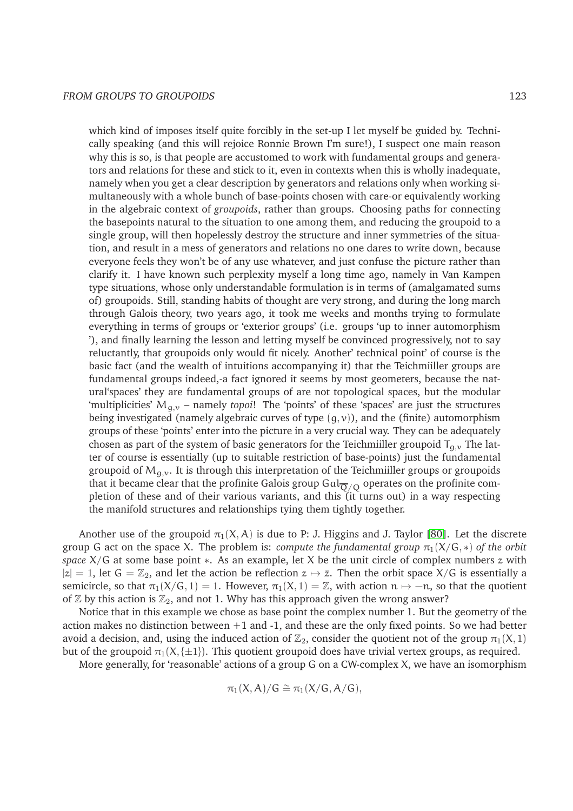which kind of imposes itself quite forcibly in the set-up I let myself be guided by. Technically speaking (and this will rejoice Ronnie Brown I'm sure!), I suspect one main reason why this is so, is that people are accustomed to work with fundamental groups and generators and relations for these and stick to it, even in contexts when this is wholly inadequate, namely when you get a clear description by generators and relations only when working simultaneously with a whole bunch of base-points chosen with care-or equivalently working in the algebraic context of *groupoids*, rather than groups. Choosing paths for connecting the basepoints natural to the situation to one among them, and reducing the groupoid to a single group, will then hopelessly destroy the structure and inner symmetries of the situation, and result in a mess of generators and relations no one dares to write down, because everyone feels they won't be of any use whatever, and just confuse the picture rather than clarify it. I have known such perplexity myself a long time ago, namely in Van Kampen type situations, whose only understandable formulation is in terms of (amalgamated sums of) groupoids. Still, standing habits of thought are very strong, and during the long march through Galois theory, two years ago, it took me weeks and months trying to formulate everything in terms of groups or 'exterior groups' (i.e. groups 'up to inner automorphism '), and finally learning the lesson and letting myself be convinced progressively, not to say reluctantly, that groupoids only would fit nicely. Another' technical point' of course is the basic fact (and the wealth of intuitions accompanying it) that the Teichmiiller groups are fundamental groups indeed,-a fact ignored it seems by most geometers, because the natural'spaces' they are fundamental groups of are not topological spaces, but the modular 'multiplicities'  $M_{a,v}$  – namely *topoi*! The 'points' of these 'spaces' are just the structures being investigated (namely algebraic curves of type  $(q, v)$ ), and the (finite) automorphism groups of these 'points' enter into the picture in a very crucial way. They can be adequately chosen as part of the system of basic generators for the Teichmiiller groupoid  $T_{a,v}$  The latter of course is essentially (up to suitable restriction of base-points) just the fundamental groupoid of  $M_{a,v}$ . It is through this interpretation of the Teichmiiller groups or groupoids that it became clear that the profinite Galois group  $Gal<sub>Q/O</sub>$  operates on the profinite completion of these and of their various variants, and this (it turns out) in a way respecting the manifold structures and relationships tying them tightly together.

Another use of the groupoid  $\pi_1(X, A)$  is due to P: J. Higgins and J. Taylor [\[80\]](#page-22-7). Let the discrete group G act on the space X. The problem is: *compute the fundamental group*  $\pi_1(X/G, *)$  *of the orbit space* X/G at some base point ∗. As an example, let X be the unit circle of complex numbers z with  $|z| = 1$ , let  $G = \mathbb{Z}_2$ , and let the action be reflection  $z \mapsto \overline{z}$ . Then the orbit space X/G is essentially a semicircle, so that  $\pi_1(X/G, 1) = 1$ . However,  $\pi_1(X, 1) = \mathbb{Z}$ , with action  $n \mapsto -n$ , so that the quotient of  $\mathbb Z$  by this action is  $\mathbb Z_2$ , and not 1. Why has this approach given the wrong answer?

Notice that in this example we chose as base point the complex number 1. But the geometry of the action makes no distinction between  $+1$  and  $-1$ , and these are the only fixed points. So we had better avoid a decision, and, using the induced action of  $\mathbb{Z}_2$ , consider the quotient not of the group  $\pi_1(X, 1)$ but of the groupoid  $\pi_1(X, \{\pm 1\})$ . This quotient groupoid does have trivial vertex groups, as required.

More generally, for 'reasonable' actions of a group G on a CW-complex X, we have an isomorphism

$$
\pi_1(X,A)/G\cong \pi_1(X/G,A/G),
$$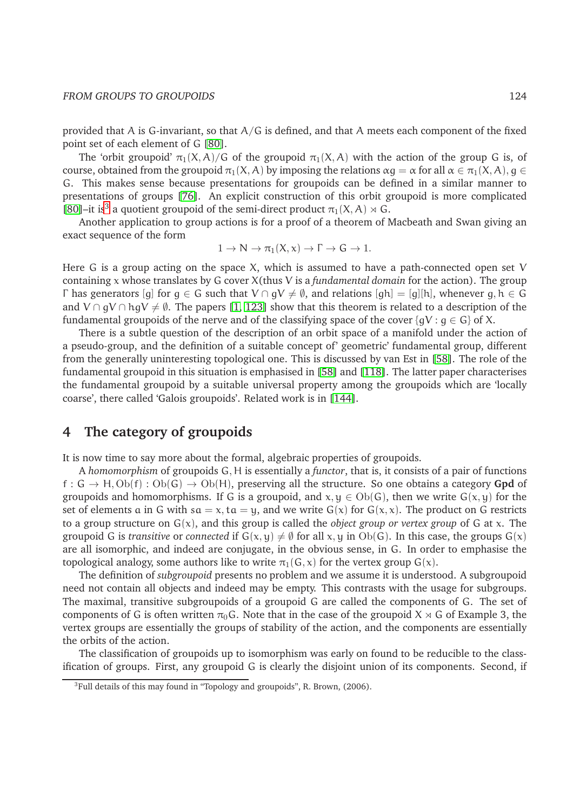provided that A is G-invariant, so that  $A/G$  is defined, and that A meets each component of the fixed point set of each element of G [\[80\]](#page-22-7).

The 'orbit groupoid'  $\pi_1(X, A)/G$  of the groupoid  $\pi_1(X, A)$  with the action of the group G is, of course, obtained from the groupoid  $\pi_1(X, A)$  by imposing the relations  $\alpha q = \alpha$  for all  $\alpha \in \pi_1(X, A)$ ,  $q \in$ G. This makes sense because presentations for groupoids can be defined in a similar manner to presentations of groups [\[76\]](#page-22-5). An explicit construction of this orbit groupoid is more complicated [\[80\]](#page-22-7)–it is<sup>[3](#page-7-0)</sup> a quotient groupoid of the semi-direct product  $\pi_1(X, A) \rtimes G$ .

Another application to group actions is for a proof of a theorem of Macbeath and Swan giving an exact sequence of the form

$$
1 \to N \to \pi_1(X,x) \to \Gamma \to G \to 1.
$$

Here G is a group acting on the space  $X$ , which is assumed to have a path-connected open set  $V$ containing x whose translates by G cover X(thus V is a *fundamental domain* for the action). The group Γ has generators [q] for  $q \in G$  such that  $V \cap qV \neq \emptyset$ , and relations [qh] = [q][h], whenever q, h ∈ G and  $V \cap qV \cap hqV \neq \emptyset$ . The papers [\[1,](#page-17-2) [123\]](#page-24-2) show that this theorem is related to a description of the fundamental groupoids of the nerve and of the classifying space of the cover  $\{qV : q \in G\}$  of X.

There is a subtle question of the description of an orbit space of a manifold under the action of a pseudo-group, and the definition of a suitable concept of' geometric' fundamental group, different from the generally uninteresting topological one. This is discussed by van Est in [\[58\]](#page-21-4). The role of the fundamental groupoid in this situation is emphasised in [\[58\]](#page-21-4) and [\[118\]](#page-24-3). The latter paper characterises the fundamental groupoid by a suitable universal property among the groupoids which are 'locally coarse', there called 'Galois groupoids'. Related work is in [\[144\]](#page-25-1).

## **4 The category of groupoids**

It is now time to say more about the formal, algebraic properties of groupoids.

A *homomorphism* of groupoids G, H is essentially a *functor*, that is, it consists of a pair of functions  $f: G \to H$ ,  $Ob(f): Ob(G) \to Ob(H)$ , preserving all the structure. So one obtains a category **Gpd** of groupoids and homomorphisms. If G is a groupoid, and  $x, y \in Ob(G)$ , then we write  $G(x, y)$  for the set of elements a in G with sa = x, ta = y, and we write  $G(x)$  for  $G(x, x)$ . The product on G restricts to a group structure on  $G(x)$ , and this group is called the *object group* or vertex group of G at x. The groupoid G is *transitive* or *connected* if  $G(x, y) \neq \emptyset$  for all x, y in Ob(G). In this case, the groups  $G(x)$ are all isomorphic, and indeed are conjugate, in the obvious sense, in G. In order to emphasise the topological analogy, some authors like to write  $\pi_1(G, x)$  for the vertex group  $G(x)$ .

The definition of *subgroupoid* presents no problem and we assume it is understood. A subgroupoid need not contain all objects and indeed may be empty. This contrasts with the usage for subgroups. The maximal, transitive subgroupoids of a groupoid G are called the components of G. The set of components of G is often written  $\pi_0$ G. Note that in the case of the groupoid  $X \times G$  of Example 3, the vertex groups are essentially the groups of stability of the action, and the components are essentially the orbits of the action.

The classification of groupoids up to isomorphism was early on found to be reducible to the classification of groups. First, any groupoid G is clearly the disjoint union of its components. Second, if

<span id="page-7-0"></span><sup>&</sup>lt;sup>3</sup>Full details of this may found in "Topology and groupoids", R. Brown, (2006).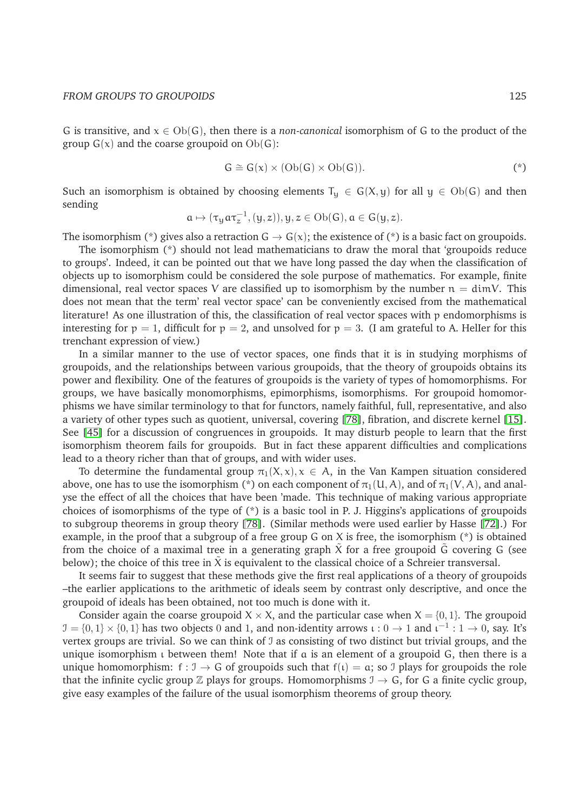G is transitive, and  $x \in Ob(G)$ , then there is a *non-canonical* isomorphism of G to the product of the group  $G(x)$  and the coarse groupoid on  $Ob(G)$ :

$$
G \cong G(x) \times (Ob(G) \times Ob(G)).
$$
 (\*)

Such an isomorphism is obtained by choosing elements  $T_y \in G(X, y)$  for all  $y \in Ob(G)$  and then sending

$$
\mathfrak{a} \mapsto (\tau_y\hspace{0.25mm}\texttt{a} \tau_z^{-1},(y,z)), y,z \in \mathrm{Ob}(\mathsf{G}), \mathfrak{a} \in \mathsf{G}(y,z).
$$

The isomorphism (\*) gives also a retraction  $G \to G(x)$ ; the existence of (\*) is a basic fact on groupoids.

The isomorphism (\*) should not lead mathematicians to draw the moral that 'groupoids reduce to groups'. Indeed, it can be pointed out that we have long passed the day when the classification of objects up to isomorphism could be considered the sole purpose of mathematics. For example, finite dimensional, real vector spaces V are classified up to isomorphism by the number  $n = dimV$ . This does not mean that the term' real vector space' can be conveniently excised from the mathematical literature! As one illustration of this, the classification of real vector spaces with p endomorphisms is interesting for  $p = 1$ , difficult for  $p = 2$ , and unsolved for  $p = 3$ . (I am grateful to A. Heller for this trenchant expression of view.)

In a similar manner to the use of vector spaces, one finds that it is in studying morphisms of groupoids, and the relationships between various groupoids, that the theory of groupoids obtains its power and flexibility. One of the features of groupoids is the variety of types of homomorphisms. For groups, we have basically monomorphisms, epimorphisms, isomorphisms. For groupoid homomorphisms we have similar terminology to that for functors, namely faithful, full, representative, and also a variety of other types such as quotient, universal, covering [\[78\]](#page-22-6), fibration, and discrete kernel [\[15\]](#page-18-11). See [\[45\]](#page-20-7) for a discussion of congruences in groupoids. It may disturb people to learn that the first isomorphism theorem fails for groupoids. But in fact these apparent difficulties and complications lead to a theory richer than that of groups, and with wider uses.

To determine the fundamental group  $\pi_1(X, x)$ ,  $x \in A$ , in the Van Kampen situation considered above, one has to use the isomorphism (\*) on each component of  $\pi_1(U, A)$ , and of  $\pi_1(V, A)$ , and analyse the effect of all the choices that have been 'made. This technique of making various appropriate choices of isomorphisms of the type of (\*) is a basic tool in P. J. Higgins's applications of groupoids to subgroup theorems in group theory [\[78\]](#page-22-6). (Similar methods were used earlier by Hasse [\[72\]](#page-21-9).) For example, in the proof that a subgroup of a free group G on X is free, the isomorphism (\*) is obtained from the choice of a maximal tree in a generating graph  $\tilde{X}$  for a free groupoid  $\tilde{G}$  covering G (see below); the choice of this tree in  $\tilde{X}$  is equivalent to the classical choice of a Schreier transversal.

It seems fair to suggest that these methods give the first real applications of a theory of groupoids –the earlier applications to the arithmetic of ideals seem by contrast only descriptive, and once the groupoid of ideals has been obtained, not too much is done with it.

Consider again the coarse groupoid  $X \times X$ , and the particular case when  $X = \{0, 1\}$ . The groupoid  $\mathcal{I} = \{0, 1\} \times \{0, 1\}$  has two objects 0 and 1, and non-identity arrows  $\iota : 0 \to 1$  and  $\iota^{-1} : 1 \to 0$ , say. It's vertex groups are trivial. So we can think of  $\text{I}$  as consisting of two distinct but trivial groups, and the unique isomorphism  $\iota$  between them! Note that if  $\alpha$  is an element of a groupoid G, then there is a unique homomorphism:  $f : \mathcal{I} \to G$  of groupoids such that  $f(t) = \alpha$ ; so  $\mathcal{I}$  plays for groupoids the role that the infinite cyclic group  $\mathbb Z$  plays for groups. Homomorphisms  $\mathcal I \to \mathsf G$ , for G a finite cyclic group, give easy examples of the failure of the usual isomorphism theorems of group theory.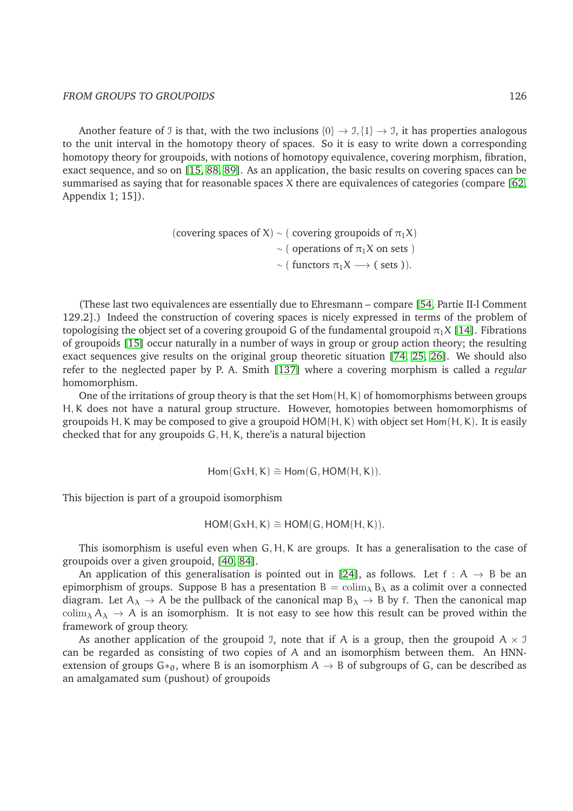Another feature of J is that, with the two inclusions  $\{0\} \rightarrow \{1\} \rightarrow \{1\}$ , it has properties analogous to the unit interval in the homotopy theory of spaces. So it is easy to write down a corresponding homotopy theory for groupoids, with notions of homotopy equivalence, covering morphism, fibration, exact sequence, and so on [\[15,](#page-18-11) [88,](#page-22-8) [89\]](#page-22-9). As an application, the basic results on covering spaces can be summarised as saying that for reasonable spaces X there are equivalences of categories (compare [\[62,](#page-21-10) Appendix 1; 15]).

> (covering spaces of X) ∼ ( covering groupoids of  $\pi_1X$ )  $∼$  ( operations of  $\pi_1 X$  on sets )  $~\sim$  ( functors  $\pi_1 X \longrightarrow$  ( sets )).

(These last two equivalences are essentially due to Ehresmann – compare [\[54,](#page-20-0) Partie II-l Comment 129.2].) Indeed the construction of covering spaces is nicely expressed in terms of the problem of topologising the object set of a covering groupoid G of the fundamental groupoid  $\pi_1 X$  [\[14\]](#page-18-9). Fibrations of groupoids [\[15\]](#page-18-11) occur naturally in a number of ways in group or group action theory; the resulting exact sequences give results on the original group theoretic situation [\[74,](#page-22-10) [25,](#page-19-2) [26\]](#page-19-3). We should also refer to the neglected paper by P. A. Smith [\[137\]](#page-25-2) where a covering morphism is called a *regular* homomorphism.

One of the irritations of group theory is that the set  $Hom(H, K)$  of homomorphisms between groups H,K does not have a natural group structure. However, homotopies between homomorphisms of groupoids H, K may be composed to give a groupoid  $HOM(H, K)$  with object set  $Hom(H, K)$ . It is easily checked that for any groupoids G, H,K, there'is a natural bijection

 $Hom(GxH, K) \cong Hom(G, HOM(H, K)).$ 

This bijection is part of a groupoid isomorphism

 $HOM(GxH, K) \cong HOM(G, HOM(H, K)).$ 

This isomorphism is useful even when G, H, K are groups. It has a generalisation to the case of groupoids over a given groupoid, [\[40,](#page-20-8) [84\]](#page-22-11).

An application of this generalisation is pointed out in [\[24\]](#page-19-4), as follows. Let  $f : A \rightarrow B$  be an epimorphism of groups. Suppose B has a presentation  $B = \text{colim}_{\lambda} B_{\lambda}$  as a colimit over a connected diagram. Let  $A_{\lambda} \to A$  be the pullback of the canonical map  $B_{\lambda} \to B$  by f. Then the canonical map colim<sub> $\lambda$ </sub>  $\lambda$   $\rightarrow$  A is an isomorphism. It is not easy to see how this result can be proved within the framework of group theory.

As another application of the groupoid J, note that if A is a group, then the groupoid  $A \times J$ can be regarded as consisting of two copies of  $A$  and an isomorphism between them. An HNNextension of groups  $G*_\theta$ , where B is an isomorphism  $A \to B$  of subgroups of G, can be described as an amalgamated sum (pushout) of groupoids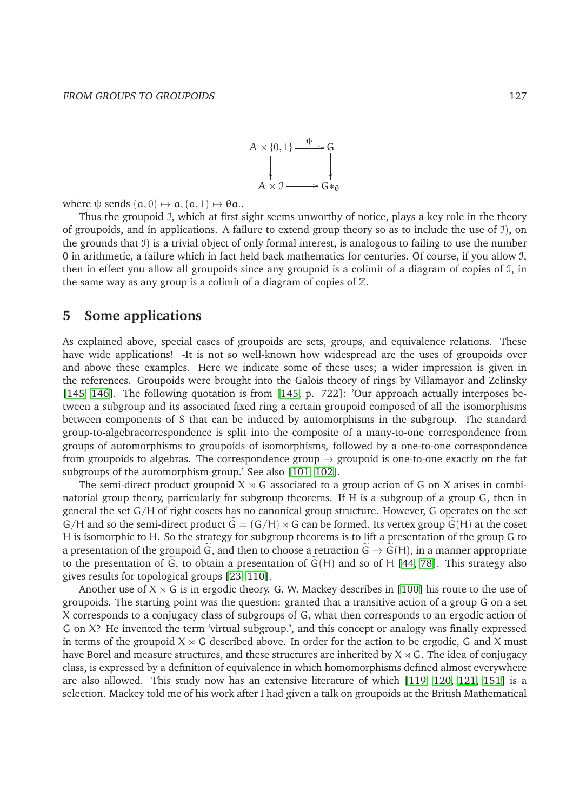

where  $\psi$  sends  $(a, 0) \mapsto a$ ,  $(a, 1) \mapsto \theta a$ ..

Thus the groupoid I, which at first sight seems unworthy of notice, plays a key role in the theory of groupoids, and in applications. A failure to extend group theory so as to include the use of  $\mathcal{I}$ ), on the grounds that  $\mathcal{I}$ ) is a trivial object of only formal interest, is analogous to failing to use the number 0 in arithmetic, a failure which in fact held back mathematics for centuries. Of course, if you allow I, then in effect you allow all groupoids since any groupoid is a colimit of a diagram of copies of I, in the same way as any group is a colimit of a diagram of copies of  $\mathbb{Z}$ .

### **5 Some applications**

As explained above, special cases of groupoids are sets, groups, and equivalence relations. These have wide applications! -It is not so well-known how widespread are the uses of groupoids over and above these examples. Here we indicate some of these uses; a wider impression is given in the references. Groupoids were brought into the Galois theory of rings by Villamayor and Zelinsky [\[145,](#page-25-3) [146\]](#page-25-4). The following quotation is from [145, p. 722]: 'Our approach actually interposes between a subgroup and its associated fixed ring a certain groupoid composed of all the isomorphisms between components of S that can be induced by automorphisms in the subgroup. The standard group-to-algebracorrespondence is split into the composite of a many-to-one correspondence from groups of automorphisms to groupoids of isomorphisms, followed by a one-to-one correspondence from groupoids to algebras. The correspondence group  $\rightarrow$  groupoid is one-to-one exactly on the fat subgroups of the automorphism group.' See also [\[101,](#page-23-9) [102\]](#page-23-10).

The semi-direct product groupoid  $X \times G$  associated to a group action of G on X arises in combinatorial group theory, particularly for subgroup theorems. If H is a subgroup of a group G, then in general the set G/H of right cosets has no canonical group structure. However, G operates on the set G/H and so the semi-direct product  $\tilde{G} = (G/H) \rtimes G$  can be formed. Its vertex group  $\tilde{G}(H)$  at the coset H is isomorphic to H. So the strategy for subgroup theorems is to lift a presentation of the group G to a presentation of the groupoid  $\tilde{G}$ , and then to choose a retraction  $\tilde{G} \to \tilde{G}(H)$ , in a manner appropriate to the presentation of  $\tilde{G}$ , to obtain a presentation of  $\tilde{G}(H)$  and so of H [\[44,](#page-20-9) [78\]](#page-22-6). This strategy also gives results for topological groups [\[23,](#page-19-5) [110\]](#page-23-11).

Another use of  $X \times G$  is in ergodic theory. G. W. Mackey describes in [\[100\]](#page-23-12) his route to the use of groupoids. The starting point was the question: granted that a transitive action of a group G on a set X corresponds to a conjugacy class of subgroups of G, what then corresponds to an ergodic action of G on X? He invented the term 'virtual subgroup.', and this concept or analogy was finally expressed in terms of the groupoid  $X \times G$  described above. In order for the action to be ergodic, G and X must have Borel and measure structures, and these structures are inherited by  $X \rtimes G$ . The idea of conjugacy class, is expressed by a definition of equivalence in which homomorphisms defined almost everywhere are also allowed. This study now has an extensive literature of which [\[119,](#page-24-4) [120,](#page-24-5) [121,](#page-24-6) [151\]](#page-26-1) is a selection. Mackey told me of his work after I had given a talk on groupoids at the British Mathematical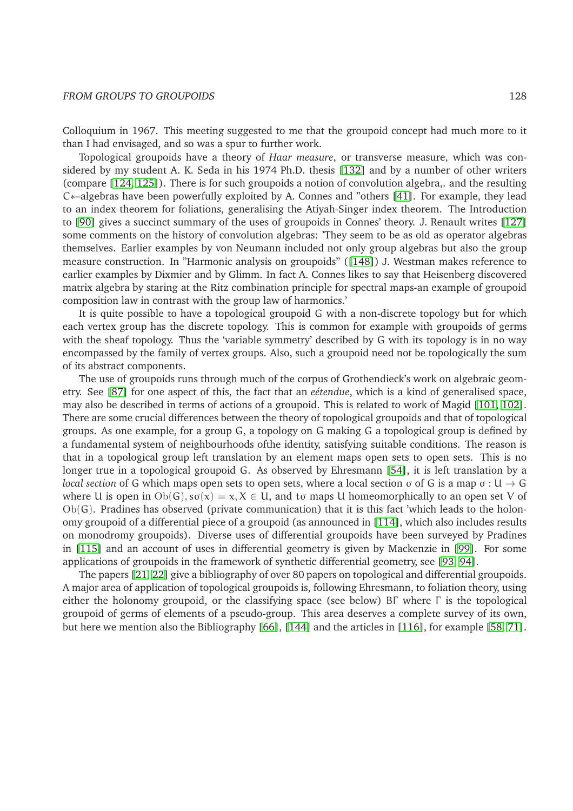Colloquium in 1967. This meeting suggested to me that the groupoid concept had much more to it than I had envisaged, and so was a spur to further work.

Topological groupoids have a theory of *Haar measure*, or transverse measure, which was considered by my student A. K. Seda in his 1974 Ph.D. thesis [\[132\]](#page-25-5) and by a number of other writers (compare [\[124,](#page-24-7) [125\]](#page-24-8)). There is for such groupoids a notion of convolution algebra,. and the resulting C∗–algebras have been powerfully exploited by A. Connes and "others [\[41\]](#page-20-10). For example, they lead to an index theorem for foliations, generalising the Atiyah-Singer index theorem. The Introduction to [\[90\]](#page-22-12) gives a succinct summary of the uses of groupoids in Connes' theory. J. Renault writes [\[127\]](#page-24-9) some comments on the history of convolution algebras: 'They seem to be as old as operator algebras themselves. Earlier examples by von Neumann included not only group algebras but also the group measure construction. In "Harmonic analysis on groupoids" ([\[148\]](#page-26-2)) J. Westman makes reference to earlier examples by Dixmier and by Glimm. In fact A. Connes likes to say that Heisenberg discovered matrix algebra by staring at the Ritz combination principle for spectral maps-an example of groupoid composition law in contrast with the group law of harmonics.'

It is quite possible to have a topological groupoid G with a non-discrete topology but for which each vertex group has the discrete topology. This is common for example with groupoids of germs with the sheaf topology. Thus the 'variable symmetry' described by G with its topology is in no way encompassed by the family of vertex groups. Also, such a groupoid need not be topologically the sum of its abstract components.

The use of groupoids runs through much of the corpus of Grothendieck's work on algebraic geom-etry. See [\[87\]](#page-22-13) for one aspect of this, the fact that an *eétendue*, which is a kind of generalised space, may also be described in terms of actions of a groupoid. This is related to work of Magid [\[101,](#page-23-9) [102\]](#page-23-10). There are some crucial differences between the theory of topological groupoids and that of topological groups. As one example, for a group G, a topology on G making G a topological group is defined by a fundamental system of neighbourhoods ofthe identity, satisfying suitable conditions. The reason is that in a topological group left translation by an element maps open sets to open sets. This is no longer true in a topological groupoid G. As observed by Ehresmann [\[54\]](#page-20-0), it is left translation by a *local section* of G which maps open sets to open sets, where a local section  $\sigma$  of G is a map  $\sigma$  : U  $\rightarrow$  G where U is open in  $Ob(G)$ ,  $s\sigma(x) = x, X \in U$ , and to maps U homeomorphically to an open set V of Ob(G). Pradines has observed (private communication) that it is this fact 'which leads to the holonomy groupoid of a differential piece of a groupoid (as announced in [\[114\]](#page-24-10), which also includes results on monodromy groupoids). Diverse uses of differential groupoids have been surveyed by Pradines in [\[115\]](#page-24-11) and an account of uses in differential geometry is given by Mackenzie in [\[99\]](#page-23-4). For some applications of groupoids in the framework of synthetic differential geometry, see [\[93,](#page-23-13) [94\]](#page-23-14).

The papers [\[21,](#page-18-7) [22\]](#page-19-0) give a bibliography of over 80 papers on topological and differential groupoids. A major area of application of topological groupoids is, following Ehresmann, to foliation theory, using either the holonomy groupoid, or the classifying space (see below) BΓ where Γ is the topological groupoid of germs of elements of a pseudo-group. This area deserves a complete survey of its own, but here we mention also the Bibliography [\[66\]](#page-21-3), [\[144\]](#page-25-1) and the articles in [\[116\]](#page-24-12), for example [\[58,](#page-21-4) [71\]](#page-21-11).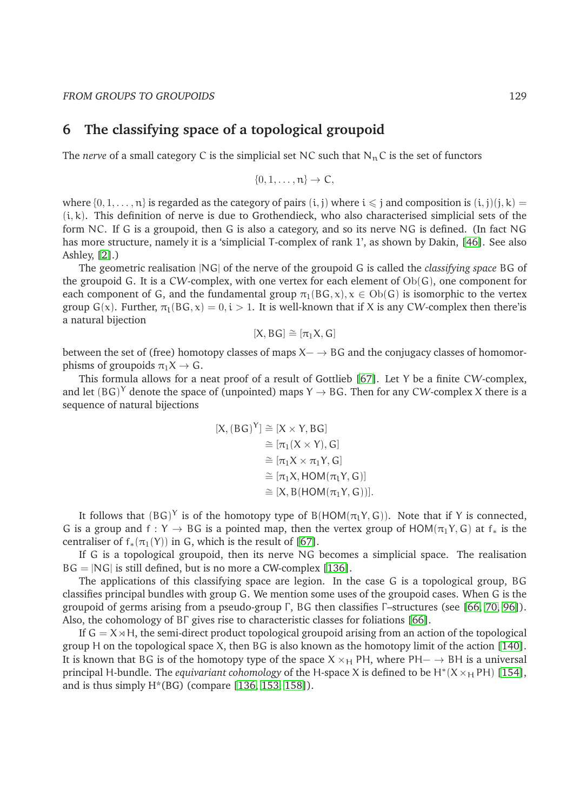# **6 The classifying space of a topological groupoid**

The *nerve* of a small category C is the simplicial set NC such that  $N_nC$  is the set of functors

$$
\{0,1,\ldots,n\}\to \mathsf{C},
$$

where  $\{0, 1, \ldots, n\}$  is regarded as the category of pairs  $(i, j)$  where  $i \leq j$  and composition is  $(i, j)(j, k) =$  $(i, k)$ . This definition of nerve is due to Grothendieck, who also characterised simplicial sets of the form NC. If G is a groupoid, then G is also a category, and so its nerve NG is defined. (In fact NG has more structure, namely it is a 'simplicial T-complex of rank 1', as shown by Dakin, [\[46\]](#page-20-11). See also Ashley, [\[2\]](#page-17-3).)

The geometric realisation |NG| of the nerve of the groupoid G is called the *classifying space* BG of the groupoid G. It is a CW-complex, with one vertex for each element of Ob(G), one component for each component of G, and the fundamental group  $\pi_1(BG, x)$ ,  $x \in Ob(G)$  is isomorphic to the vertex group  $G(x)$ . Further,  $\pi_1(BG, x) = 0, i > 1$ . It is well-known that if X is any CW-complex then there'is a natural bijection

$$
[X,BG]\cong [\pi_1X,G]
$$

between the set of (free) homotopy classes of maps  $X \rightarrow BG$  and the conjugacy classes of homomorphisms of groupoids  $\pi_1 X \rightarrow G$ .

This formula allows for a neat proof of a result of Gottlieb [\[67\]](#page-21-12). Let Y be a finite CW-complex, and let  $(BG)^Y$  denote the space of (unpointed) maps Y  $\rightarrow$  BG. Then for any CW-complex X there is a sequence of natural bijections

$$
[X, (BG)^{Y}] \cong [X \times Y, BG]
$$
  
\n
$$
\cong [\pi_1(X \times Y), G]
$$
  
\n
$$
\cong [\pi_1X \times \pi_1Y, G]
$$
  
\n
$$
\cong [\pi_1X, HOM(\pi_1Y, G)]
$$
  
\n
$$
\cong [X, B(HOM(\pi_1Y, G))].
$$

It follows that  $(BG)^Y$  is of the homotopy type of  $B(\text{HOM}(\pi_1Y, G))$ . Note that if Y is connected, G is a group and f : Y  $\rightarrow$  BG is a pointed map, then the vertex group of HOM( $\pi_1$ Y, G) at  $f_*$  is the centraliser of  $f_*(\pi_1(Y))$  in G, which is the result of [\[67\]](#page-21-12).

If G is a topological groupoid, then its nerve NG becomes a simplicial space. The realisation  $BG = |NG|$  is still defined, but is no more a CW-complex [\[136\]](#page-25-6).

The applications of this classifying space are legion. In the case G is a topological group, BG classifies principal bundles with group G. We mention some uses of the groupoid cases. When G is the groupoid of germs arising from a pseudo-group Γ , BG then classifies Γ–structures (see [\[66,](#page-21-3) [70,](#page-21-2) [96\]](#page-23-3)). Also, the cohomology of BΓ gives rise to characteristic classes for foliations [\[66\]](#page-21-3).

If  $G = X \rtimes H$ , the semi-direct product topological groupoid arising from an action of the topological group H on the topological space X, then BG is also known as the homotopy limit of the action [\[140\]](#page-25-7). It is known that BG is of the homotopy type of the space  $X \times_H PH$ , where PH $- \rightarrow BH$  is a universal principal H-bundle. The *equivariant cohomology* of the H-space X is defined to be H<sup>∗</sup>(X × <sub>H</sub> PH) [\[154\]](#page-26-3), and is thus simply  $H^*(BG)$  (compare [\[136,](#page-25-6) [153,](#page-26-4) [158\]](#page-26-5)).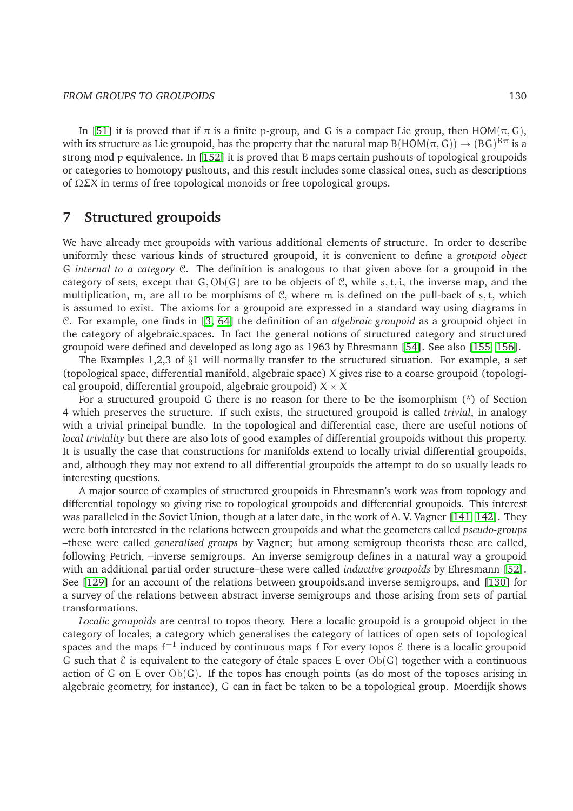In [\[51\]](#page-20-12) it is proved that if  $\pi$  is a finite p-group, and G is a compact Lie group, then HOM( $\pi$ , G), with its structure as Lie groupoid, has the property that the natural map B(HOM( $\pi,G$ ))  $\to$  (BG) $^{B\pi}$  is a strong mod p equivalence. In [\[152\]](#page-26-6) it is proved that B maps certain pushouts of topological groupoids or categories to homotopy pushouts, and this result includes some classical ones, such as descriptions of ΩΣX in terms of free topological monoids or free topological groups.

## **7 Structured groupoids**

We have already met groupoids with various additional elements of structure. In order to describe uniformly these various kinds of structured groupoid, it is convenient to define a *groupoid object* G *internal to a category* C. The definition is analogous to that given above for a groupoid in the category of sets, except that  $G, Ob(G)$  are to be objects of  $C$ , while s, t, i, the inverse map, and the multiplication, m, are all to be morphisms of  $C$ , where m is defined on the pull-back of s, t, which is assumed to exist. The axioms for a groupoid are expressed in a standard way using diagrams in C. For example, one finds in [\[3,](#page-17-4) [64\]](#page-21-13) the definition of an *algebraic groupoid* as a groupoid object in the category of algebraic.spaces. In fact the general notions of structured category and structured groupoid were defined and developed as long ago as 1963 by Ehresmann [\[54\]](#page-20-0). See also [\[155,](#page-26-7) [156\]](#page-26-8).

The Examples 1,2,3 of  $\S1$  will normally transfer to the structured situation. For example, a set (topological space, differential manifold, algebraic space) X gives rise to a coarse groupoid (topological groupoid, differential groupoid, algebraic groupoid)  $X \times X$ 

For a structured groupoid G there is no reason for there to be the isomorphism (\*) of Section 4 which preserves the structure. If such exists, the structured groupoid is called *trivial*, in analogy with a trivial principal bundle. In the topological and differential case, there are useful notions of *local triviality* but there are also lots of good examples of differential groupoids without this property. It is usually the case that constructions for manifolds extend to locally trivial differential groupoids, and, although they may not extend to all differential groupoids the attempt to do so usually leads to interesting questions.

A major source of examples of structured groupoids in Ehresmann's work was from topology and differential topology so giving rise to topological groupoids and differential groupoids. This interest was paralleled in the Soviet Union, though at a later date, in the work of A. V. Vagner [\[141,](#page-25-8) [142\]](#page-25-9). They were both interested in the relations between groupoids and what the geometers called *pseudo-groups* –these were called *generalised groups* by Vagner; but among semigroup theorists these are called, following Petrich, –inverse semigroups. An inverse semigroup defines in a natural way a groupoid with an additional partial order structure–these were called *inductive groupoids* by Ehresmann [\[52\]](#page-20-3). See [\[129\]](#page-25-10) for an account of the relations between groupoids.and inverse semigroups, and [\[130\]](#page-25-11) for a survey of the relations between abstract inverse semigroups and those arising from sets of partial transformations.

*Localic groupoids* are central to topos theory. Here a localic groupoid is a groupoid object in the category of locales, a category which generalises the category of lattices of open sets of topological spaces and the maps  $f^{-1}$  induced by continuous maps f For every topos  $\varepsilon$  there is a localic groupoid G such that  $\epsilon$  is equivalent to the category of étale spaces E over  $Ob(G)$  together with a continuous action of G on E over  $Ob(G)$ . If the topos has enough points (as do most of the toposes arising in algebraic geometry, for instance), G can in fact be taken to be a topological group. Moerdijk shows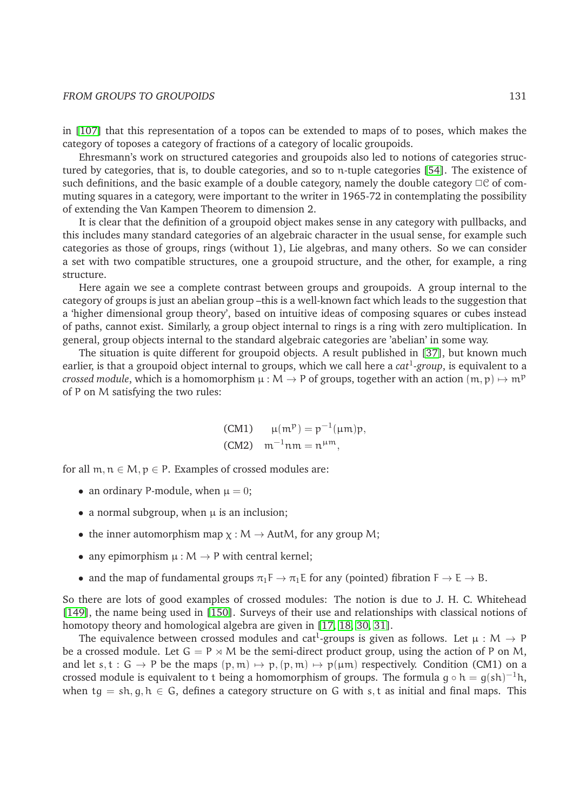#### FROM GROUPS TO GROUPOIDS **131**

in [\[107\]](#page-23-15) that this representation of a topos can be extended to maps of to poses, which makes the category of toposes a category of fractions of a category of localic groupoids.

Ehresmann's work on structured categories and groupoids also led to notions of categories structured by categories, that is, to double categories, and so to n-tuple categories [\[54\]](#page-20-0). The existence of such definitions, and the basic example of a double category, namely the double category  $\Box C$  of commuting squares in a category, were important to the writer in 1965-72 in contemplating the possibility of extending the Van Kampen Theorem to dimension 2.

It is clear that the definition of a groupoid object makes sense in any category with pullbacks, and this includes many standard categories of an algebraic character in the usual sense, for example such categories as those of groups, rings (without 1), Lie algebras, and many others. So we can consider a set with two compatible structures, one a groupoid structure, and the other, for example, a ring structure.

Here again we see a complete contrast between groups and groupoids. A group internal to the category of groups is just an abelian group –this is a well-known fact which leads to the suggestion that a 'higher dimensional group theory', based on intuitive ideas of composing squares or cubes instead of paths, cannot exist. Similarly, a group object internal to rings is a ring with zero multiplication. In general, group objects internal to the standard algebraic categories are 'abelian' in some way.

The situation is quite different for groupoid objects. A result published in [\[37\]](#page-19-6), but known much earlier, is that a groupoid object internal to groups, which we call here a *cat<sup>1</sup>-group*, is equivalent to a *crossed module*, which is a homomorphism  $\mu : M \to P$  of groups, together with an action  $(m, p) \mapsto m^p$ of P on M satisfying the two rules:

(CM1)

\n
$$
\mu(m^{p}) = p^{-1}(\mu m)p,
$$
\n(CM2)

\n
$$
m^{-1}nm = n^{\mu m},
$$

for all  $m, n \in M, p \in P$ . Examples of crossed modules are:

- an ordinary P-module, when  $\mu = 0$ ;
- a normal subgroup, when  $\mu$  is an inclusion;
- the inner automorphism map  $\chi : M \to AutM$ , for any group M;
- any epimorphism  $\mu : M \to P$  with central kernel;
- and the map of fundamental groups  $\pi_1 F \to \pi_1 E$  for any (pointed) fibration  $F \to E \to B$ .

So there are lots of good examples of crossed modules: The notion is due to J. H. C. Whitehead [\[149\]](#page-26-9), the name being used in [\[150\]](#page-26-10). Surveys of their use and relationships with classical notions of homotopy theory and homological algebra are given in [\[17,](#page-18-12) [18,](#page-18-13) [30,](#page-19-7) [31\]](#page-19-8).

The equivalence between crossed modules and cat<sup>l</sup>-groups is given as follows. Let  $\mu : M \to P$ be a crossed module. Let  $G = P \rtimes M$  be the semi-direct product group, using the action of P on M, and let s, t :  $G \rightarrow P$  be the maps  $(p, m) \mapsto p,(p, m) \mapsto p(\mu m)$  respectively. Condition (CM1) on a crossed module is equivalent to t being a homomorphism of groups. The formula  $g \circ h = g(sh)^{-1}h$ , when tq = sh, q,  $h \in G$ , defines a category structure on G with s, t as initial and final maps. This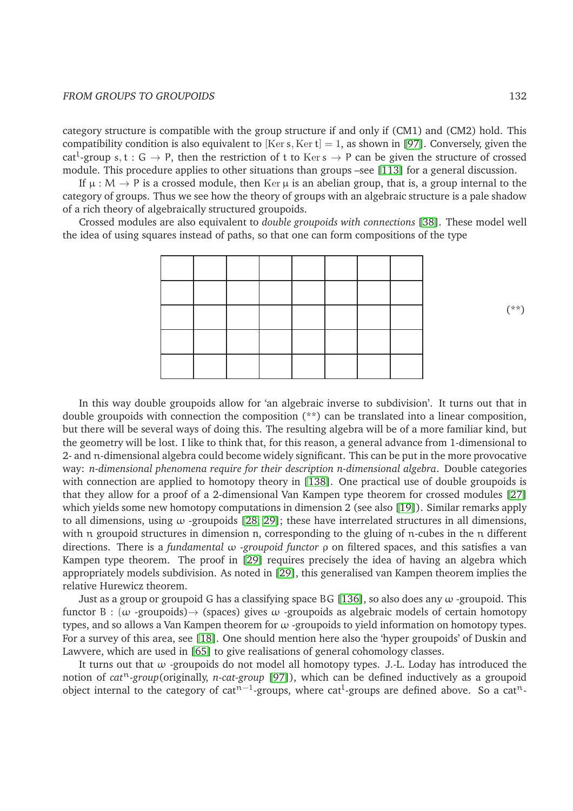category structure is compatible with the group structure if and only if (CM1) and (CM2) hold. This compatibility condition is also equivalent to  $Ker s, Ker t] = 1$ , as shown in [\[97\]](#page-23-16). Conversely, given the cat<sup>l</sup>-group s, t : G  $\rightarrow$  P, then the restriction of t to Ker s  $\rightarrow$  P can be given the structure of crossed module. This procedure applies to other situations than groups –see [\[113\]](#page-24-13) for a general discussion.

If  $\mu : M \to P$  is a crossed module, then Ker  $\mu$  is an abelian group, that is, a group internal to the category of groups. Thus we see how the theory of groups with an algebraic structure is a pale shadow of a rich theory of algebraically structured groupoids.

Crossed modules are also equivalent to *double groupoids with connections* [\[38\]](#page-20-13). These model well the idea of using squares instead of paths, so that one can form compositions of the type



(\*\*)

In this way double groupoids allow for 'an algebraic inverse to subdivision'. It turns out that in double groupoids with connection the composition (\*\*) can be translated into a linear composition, but there will be several ways of doing this. The resulting algebra will be of a more familiar kind, but the geometry will be lost. I like to think that, for this reason, a general advance from 1-dimensional to 2- and n-dimensional algebra could become widely significant. This can be put in the more provocative way: *n-dimensional phenomena require for their description n-dimensional algebra*. Double categories with connection are applied to homotopy theory in [\[138\]](#page-25-12). One practical use of double groupoids is that they allow for a proof of a 2-dimensional Van Kampen type theorem for crossed modules [\[27\]](#page-19-9) which yields some new homotopy computations in dimension 2 (see also [\[19\]](#page-18-14)). Similar remarks apply to all dimensions, using  $\omega$  -groupoids [\[28,](#page-19-10) [29\]](#page-19-11); these have interrelated structures in all dimensions, with n groupoid structures in dimension n, corresponding to the gluing of n-cubes in the n different directions. There is a *fundamental* ω *-groupoid functor* ρ on filtered spaces, and this satisfies a van Kampen type theorem. The proof in [\[29\]](#page-19-11) requires precisely the idea of having an algebra which appropriately models subdivision. As noted in [\[29\]](#page-19-11), this generalised van Kampen theorem implies the relative Hurewicz theorem.

Just as a group or groupoid G has a classifying space BG [\[136\]](#page-25-6), so also does any  $\omega$  -groupoid. This functor B : ( $\omega$  -groupoids)  $\rightarrow$  (spaces) gives  $\omega$  -groupoids as algebraic models of certain homotopy types, and so allows a Van Kampen theorem for  $\omega$  -groupoids to yield information on homotopy types. For a survey of this area, see [\[18\]](#page-18-13). One should mention here also the 'hyper groupoids' of Duskin and Lawvere, which are used in [\[65\]](#page-21-14) to give realisations of general cohomology classes.

It turns out that  $\omega$  -groupoids do not model all homotopy types. J.-L. Loday has introduced the notion of *cat*n*-group*(originally, *n-cat-group* [\[97\]](#page-23-16)), which can be defined inductively as a groupoid object internal to the category of cat<sup>n−1</sup>-groups, where cat<sup>l</sup>-groups are defined above. So a cat<sup>n</sup>-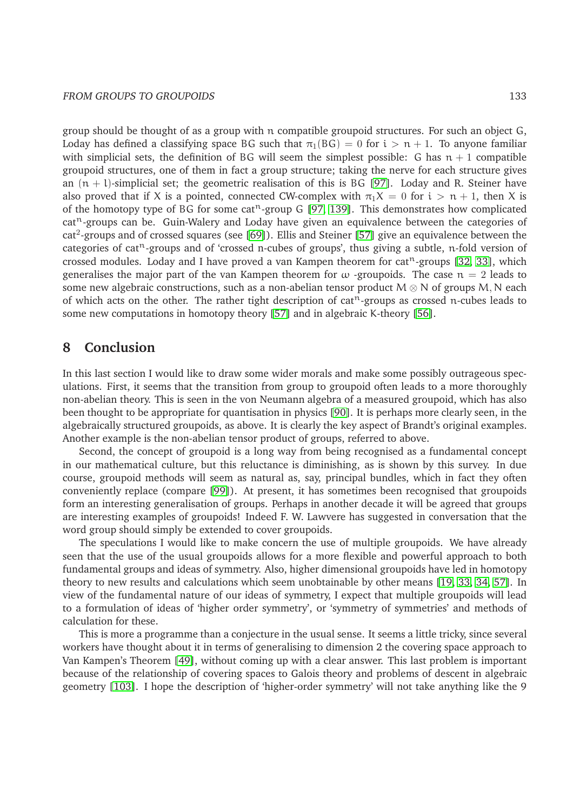group should be thought of as a group with n compatible groupoid structures. For such an object G, Loday has defined a classifying space BG such that  $\pi_1(BG) = 0$  for  $i > n + 1$ . To anyone familiar with simplicial sets, the definition of BG will seem the simplest possible: G has  $n + 1$  compatible groupoid structures, one of them in fact a group structure; taking the nerve for each structure gives an  $(n + 1)$ -simplicial set; the geometric realisation of this is BG [\[97\]](#page-23-16). Loday and R. Steiner have also proved that if X is a pointed, connected CW-complex with  $\pi_1X = 0$  for  $i > n + 1$ , then X is of the homotopy type of BG for some cat<sup>n</sup>-group G [\[97,](#page-23-16) [139\]](#page-25-13). This demonstrates how complicated  $cat<sup>n</sup>$ -groups can be. Guin-Walery and Loday have given an equivalence between the categories of cat<sup>2</sup>-groups and of crossed squares (see [\[69\]](#page-21-15)). Ellis and Steiner [\[57\]](#page-21-16) give an equivalence between the categories of  $cat^n$ -groups and of 'crossed n-cubes of groups', thus giving a subtle, n-fold version of crossed modules. Loday and I have proved a van Kampen theorem for cat<sup>n</sup>-groups [\[32,](#page-19-12) [33\]](#page-19-13), which generalises the major part of the van Kampen theorem for  $\omega$  -groupoids. The case  $n = 2$  leads to some new algebraic constructions, such as a non-abelian tensor product  $M \otimes N$  of groups M, N each of which acts on the other. The rather tight description of  $cat<sup>n</sup>$ -groups as crossed n-cubes leads to some new computations in homotopy theory [\[57\]](#page-21-16) and in algebraic K-theory [\[56\]](#page-21-17).

# **8 Conclusion**

In this last section I would like to draw some wider morals and make some possibly outrageous speculations. First, it seems that the transition from group to groupoid often leads to a more thoroughly non-abelian theory. This is seen in the von Neumann algebra of a measured groupoid, which has also been thought to be appropriate for quantisation in physics [\[90\]](#page-22-12). It is perhaps more clearly seen, in the algebraically structured groupoids, as above. It is clearly the key aspect of Brandt's original examples. Another example is the non-abelian tensor product of groups, referred to above.

Second, the concept of groupoid is a long way from being recognised as a fundamental concept in our mathematical culture, but this reluctance is diminishing, as is shown by this survey. In due course, groupoid methods will seem as natural as, say, principal bundles, which in fact they often conveniently replace (compare [\[99\]](#page-23-4)). At present, it has sometimes been recognised that groupoids form an interesting generalisation of groups. Perhaps in another decade it will be agreed that groups are interesting examples of groupoids! Indeed F. W. Lawvere has suggested in conversation that the word group should simply be extended to cover groupoids.

The speculations I would like to make concern the use of multiple groupoids. We have already seen that the use of the usual groupoids allows for a more flexible and powerful approach to both fundamental groups and ideas of symmetry. Also, higher dimensional groupoids have led in homotopy theory to new results and calculations which seem unobtainable by other means [\[19,](#page-18-14) [33,](#page-19-13) [34,](#page-19-14) [57\]](#page-21-16). In view of the fundamental nature of our ideas of symmetry, I expect that multiple groupoids will lead to a formulation of ideas of 'higher order symmetry', or 'symmetry of symmetries' and methods of calculation for these.

This is more a programme than a conjecture in the usual sense. It seems a little tricky, since several workers have thought about it in terms of generalising to dimension 2 the covering space approach to Van Kampen's Theorem [\[49\]](#page-20-14), without coming up with a clear answer. This last problem is important because of the relationship of covering spaces to Galois theory and problems of descent in algebraic geometry [\[103\]](#page-23-17). I hope the description of 'higher-order symmetry' will not take anything like the 9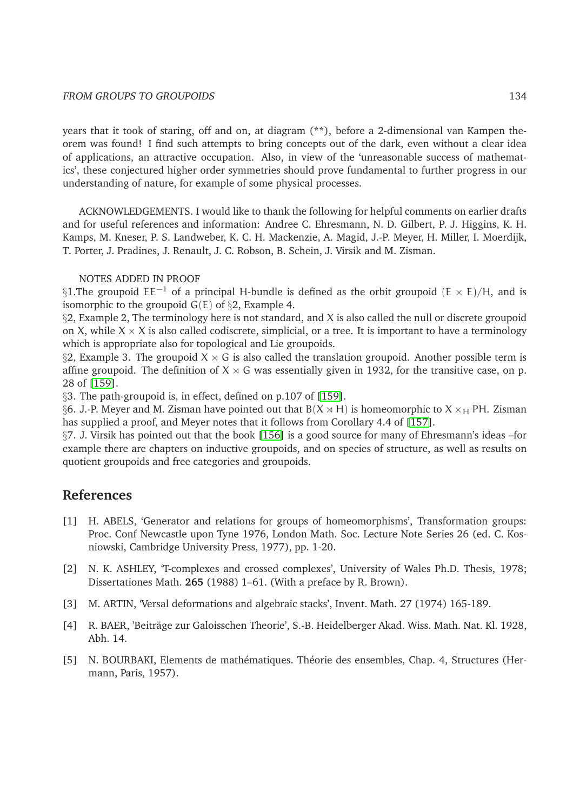years that it took of staring, off and on, at diagram (\*\*), before a 2-dimensional van Kampen theorem was found! I find such attempts to bring concepts out of the dark, even without a clear idea of applications, an attractive occupation. Also, in view of the 'unreasonable success of mathematics', these conjectured higher order symmetries should prove fundamental to further progress in our understanding of nature, for example of some physical processes.

ACKNOWLEDGEMENTS. I would like to thank the following for helpful comments on earlier drafts and for useful references and information: Andree C. Ehresmann, N. D. Gilbert, P. J. Higgins, K. H. Kamps, M. Kneser, P. S. Landweber, K. C. H. Mackenzie, A. Magid, J.-P. Meyer, H. Miller, I. Moerdijk, T. Porter, J. Pradines, J. Renault, J. C. Robson, B. Schein, J. Virsik and M. Zisman.

### NOTES ADDED IN PROOF

§1. The groupoid  $EE^{-1}$  of a principal H-bundle is defined as the orbit groupoid (E  $\times$  E)/H, and is isomorphic to the groupoid  $G(E)$  of  $\S 2$ , Example 4.

§2, Example 2, The terminology here is not standard, and X is also called the null or discrete groupoid on X, while  $X \times X$  is also called codiscrete, simplicial, or a tree. It is important to have a terminology which is appropriate also for topological and Lie groupoids.

§2, Example 3. The groupoid  $X \times G$  is also called the translation groupoid. Another possible term is affine groupoid. The definition of  $X \times G$  was essentially given in 1932, for the transitive case, on p. 28 of [\[159\]](#page-26-11).

§3. The path-groupoid is, in effect, defined on p.107 of [\[159\]](#page-26-11).

§6. J.-P. Meyer and M. Zisman have pointed out that  $B(X \times H)$  is homeomorphic to  $X \times_H PH$ . Zisman has supplied a proof, and Meyer notes that it follows from Corollary 4.4 of [\[157\]](#page-26-12).

§7. J. Virsik has pointed out that the book [\[156\]](#page-26-8) is a good source for many of Ehresmann's ideas –for example there are chapters on inductive groupoids, and on species of structure, as well as results on quotient groupoids and free categories and groupoids.

### **References**

- <span id="page-17-2"></span>[1] H. ABELS, 'Generator and relations for groups of homeomorphisms', Transformation groups: Proc. Conf Newcastle upon Tyne 1976, London Math. Soc. Lecture Note Series 26 (ed. C. Kosniowski, Cambridge University Press, 1977), pp. 1-20.
- <span id="page-17-3"></span>[2] N. K. ASHLEY, 'T-complexes and crossed complexes', University of Wales Ph.D. Thesis, 1978; Dissertationes Math. **265** (1988) 1–61. (With a preface by R. Brown).
- <span id="page-17-4"></span>[3] M. ARTIN, 'Versal deformations and algebraic stacks', Invent. Math. 27 (1974) 165-189.
- <span id="page-17-0"></span>[4] R. BAER, 'Beiträge zur Galoisschen Theorie', S.-B. Heidelberger Akad. Wiss. Math. Nat. Kl. 1928, Abh. 14.
- <span id="page-17-1"></span>[5] N. BOURBAKI, Elements de mathématiques. Théorie des ensembles, Chap. 4, Structures (Hermann, Paris, 1957).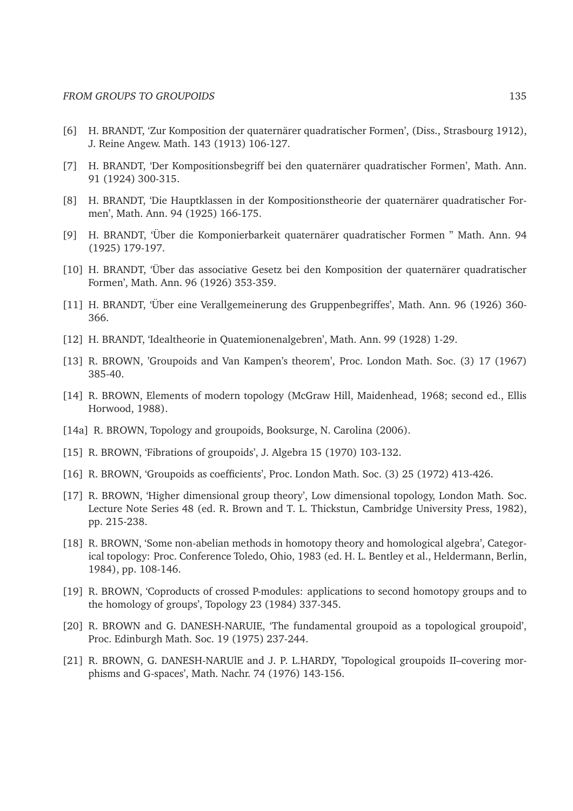- <span id="page-18-1"></span>[6] H. BRANDT, 'Zur Komposition der quaternärer quadratischer Formen', (Diss., Strasbourg 1912), J. Reine Angew. Math. 143 (1913) 106-127.
- <span id="page-18-2"></span>[7] H. BRANDT, 'Der Kompositionsbegriff bei den quaternärer quadratischer Formen', Math. Ann. 91 (1924) 300-315.
- <span id="page-18-3"></span>[8] H. BRANDT, 'Die Hauptklassen in der Kompositionstheorie der quaternärer quadratischer Formen', Math. Ann. 94 (1925) 166-175.
- <span id="page-18-4"></span>[9] H. BRANDT, 'Über die Komponierbarkeit quaternärer quadratischer Formen " Math. Ann. 94 (1925) 179-197.
- <span id="page-18-5"></span>[10] H. BRANDT, 'Über das associative Gesetz bei den Komposition der quaternärer quadratischer Formen', Math. Ann. 96 (1926) 353-359.
- <span id="page-18-0"></span>[11] H. BRANDT, 'Über eine Verallgemeinerung des Gruppenbegriffes', Math. Ann. 96 (1926) 360-366.
- <span id="page-18-6"></span>[12] H. BRANDT, 'Idealtheorie in Quatemionenalgebren', Math. Ann. 99 (1928) 1-29.
- [13] R. BROWN, 'Groupoids and Van Kampen's theorem', Proc. London Math. Soc. (3) 17 (1967) 385-40.
- <span id="page-18-9"></span>[14] R. BROWN, Elements of modern topology (McGraw Hill, Maidenhead, 1968; second ed., Ellis Horwood, 1988).
- <span id="page-18-10"></span>[14a] R. BROWN, Topology and groupoids, Booksurge, N. Carolina (2006).
- <span id="page-18-11"></span>[15] R. BROWN, 'Fibrations of groupoids', J. Algebra 15 (1970) 103-132.
- <span id="page-18-8"></span>[16] R. BROWN, 'Groupoids as coefficients', Proc. London Math. Soc. (3) 25 (1972) 413-426.
- <span id="page-18-12"></span>[17] R. BROWN, 'Higher dimensional group theory', Low dimensional topology, London Math. Soc. Lecture Note Series 48 (ed. R. Brown and T. L. Thickstun, Cambridge University Press, 1982), pp. 215-238.
- <span id="page-18-13"></span>[18] R. BROWN, 'Some non-abelian methods in homotopy theory and homological algebra', Categorical topology: Proc. Conference Toledo, Ohio, 1983 (ed. H. L. Bentley et al., Heldermann, Berlin, 1984), pp. 108-146.
- <span id="page-18-14"></span>[19] R. BROWN, 'Coproducts of crossed P-modules: applications to second homotopy groups and to the homology of groups', Topology 23 (1984) 337-345.
- [20] R. BROWN and G. DANESH-NARUIE, 'The fundamental groupoid as a topological groupoid', Proc. Edinburgh Math. Soc. 19 (1975) 237-244.
- <span id="page-18-7"></span>[21] R. BROWN, G. DANESH-NARUlE and J. P. L.HARDY, 'Topological groupoids II–covering morphisms and G-spaces', Math. Nachr. 74 (1976) 143-156.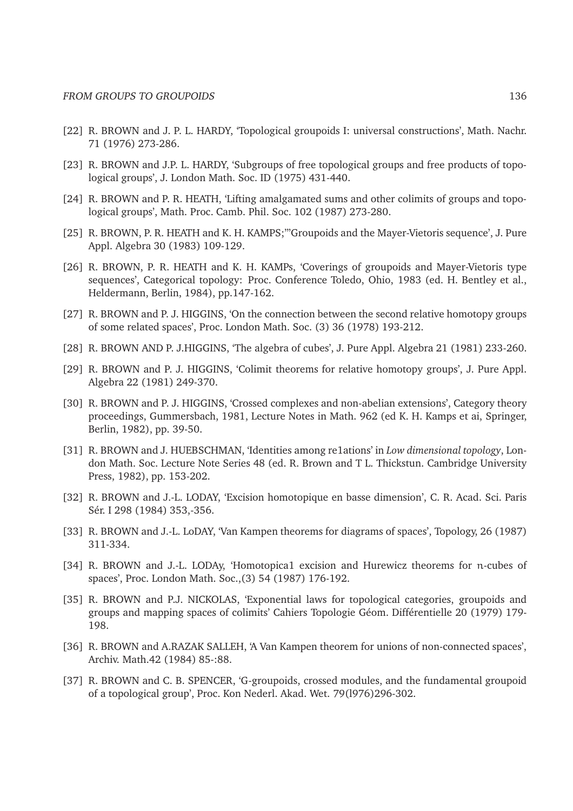- <span id="page-19-0"></span>[22] R. BROWN and J. P. L. HARDY, 'Topological groupoids I: universal constructions', Math. Nachr. 71 (1976) 273-286.
- <span id="page-19-5"></span>[23] R. BROWN and J.P. L. HARDY, 'Subgroups of free topological groups and free products of topological groups', J. London Math. Soc. ID (1975) 431-440.
- <span id="page-19-4"></span>[24] R. BROWN and P. R. HEATH, 'Lifting amalgamated sums and other colimits of groups and topological groups', Math. Proc. Camb. Phil. Soc. 102 (1987) 273-280.
- <span id="page-19-2"></span>[25] R. BROWN, P. R. HEATH and K. H. KAMPS;"'Groupoids and the Mayer-Vietoris sequence', J. Pure Appl. Algebra 30 (1983) 109-129.
- <span id="page-19-3"></span>[26] R. BROWN, P. R. HEATH and K. H. KAMPs, 'Coverings of groupoids and Mayer-Vietoris type sequences', Categorical topology: Proc. Conference Toledo, Ohio, 1983 (ed. H. Bentley et al., Heldermann, Berlin, 1984), pp.147-162.
- <span id="page-19-9"></span>[27] R. BROWN and P. J. HIGGINS, 'On the connection between the second relative homotopy groups of some related spaces', Proc. London Math. Soc. (3) 36 (1978) 193-212.
- <span id="page-19-10"></span>[28] R. BROWN AND P. J.HIGGINS, 'The algebra of cubes', J. Pure Appl. Algebra 21 (1981) 233-260.
- <span id="page-19-11"></span>[29] R. BROWN and P. J. HIGGINS, 'Colimit theorems for relative homotopy groups', J. Pure Appl. Algebra 22 (1981) 249-370.
- <span id="page-19-7"></span>[30] R. BROWN and P. J. HIGGINS, 'Crossed complexes and non-abelian extensions', Category theory proceedings, Gummersbach, 1981, Lecture Notes in Math. 962 (ed K. H. Kamps et ai, Springer, Berlin, 1982), pp. 39-50.
- <span id="page-19-8"></span>[31] R. BROWN and J. HUEBSCHMAN, 'Identities among re1ations' in *Low dimensional topology*, London Math. Soc. Lecture Note Series 48 (ed. R. Brown and T L. Thickstun. Cambridge University Press, 1982), pp. 153-202.
- <span id="page-19-12"></span>[32] R. BROWN and J.-L. LODAY, 'Excision homotopique en basse dimension', C. R. Acad. Sci. Paris Sér. I 298 (1984) 353,-356.
- <span id="page-19-13"></span>[33] R. BROWN and J.-L. LoDAY, 'Van Kampen theorems for diagrams of spaces', Topology, 26 (1987) 311-334.
- <span id="page-19-14"></span>[34] R. BROWN and J.-L. LODAy, 'Homotopica1 excision and Hurewicz theorems for n-cubes of spaces', Proc. London Math. Soc.,(3) 54 (1987) 176-192.
- [35] R. BROWN and P.J. NICKOLAS, 'Exponential laws for topological categories, groupoids and groups and mapping spaces of colimits' Cahiers Topologie Géom. Différentielle 20 (1979) 179-198.
- <span id="page-19-1"></span>[36] R. BROWN and A.RAZAK SALLEH, 'A Van Kampen theorem for unions of non-connected spaces', Archiv. Math.42 (1984) 85-:88.
- <span id="page-19-6"></span>[37] R. BROWN and C. B. SPENCER, 'G-groupoids, crossed modules, and the fundamental groupoid of a topological group', Proc. Kon Nederl. Akad. Wet. 79(l976)296-302.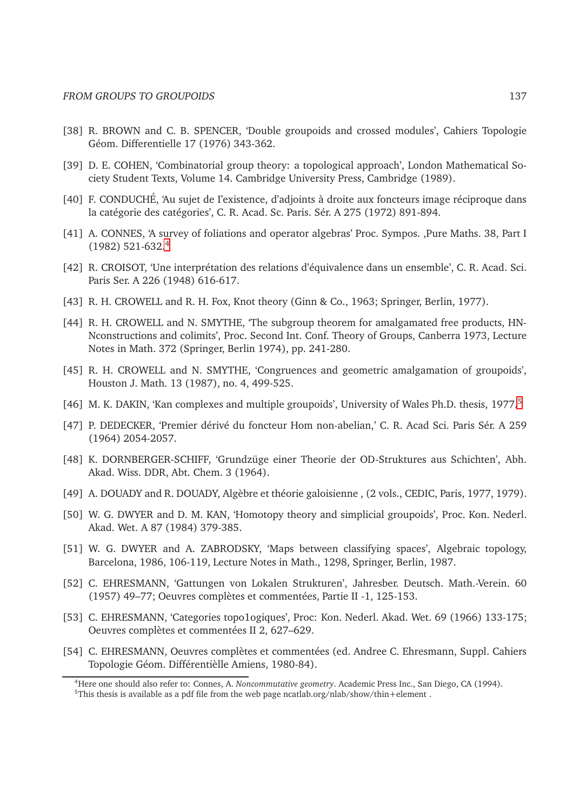- <span id="page-20-13"></span>[38] R. BROWN and C. B. SPENCER, 'Double groupoids and crossed modules', Cahiers Topologie Géom. Differentielle 17 (1976) 343-362.
- <span id="page-20-5"></span>[39] D. E. COHEN, 'Combinatorial group theory: a topological approach', London Mathematical Society Student Texts, Volume 14. Cambridge University Press, Cambridge (1989).
- <span id="page-20-8"></span>[40] F. CONDUCHÉ, 'Au sujet de l'existence, d'adjoints à droite aux foncteurs image réciproque dans la catégorie des catégories', C. R. Acad. Sc. Paris. Sér. A 275 (1972) 891-894.
- <span id="page-20-10"></span>[41] A. CONNES, 'A survey of foliations and operator algebras' Proc. Sympos. ,Pure Maths. 38, Part I  $(1982)$  521-632.<sup>[4](#page-20-15)</sup>
- <span id="page-20-2"></span>[42] R. CROISOT, 'Une interprétation des relations d'équivalence dans un ensemble', C. R. Acad. Sci. Paris Ser. A 226 (1948) 616-617.
- <span id="page-20-6"></span>[43] R. H. CROWELL and R. H. Fox, Knot theory (Ginn & Co., 1963; Springer, Berlin, 1977).
- <span id="page-20-9"></span>[44] R. H. CROWELL and N. SMYTHE, 'The subgroup theorem for amalgamated free products, HN-Nconstructions and colimits', Proc. Second Int. Conf. Theory of Groups, Canberra 1973, Lecture Notes in Math. 372 (Springer, Berlin 1974), pp. 241-280.
- <span id="page-20-7"></span>[45] R. H. CROWELL and N. SMYTHE, 'Congruences and geometric amalgamation of groupoids', Houston J. Math. 13 (1987), no. 4, 499-525.
- <span id="page-20-11"></span>[46] M. K. DAKIN, 'Kan complexes and multiple groupoids', University of Wales Ph.D. thesis, 1977.<sup>[5](#page-20-16)</sup>
- <span id="page-20-1"></span>[47] P. DEDECKER, 'Premier dérivé du foncteur Hom non-abelian,' C. R. Acad Sci. Paris Sér. A 259 (1964) 2054-2057.
- <span id="page-20-4"></span>[48] K. DORNBERGER-SCHIFF, 'Grundzüge einer Theorie der OD-Struktures aus Schichten', Abh. Akad. Wiss. DDR, Abt. Chem. 3 (1964).
- <span id="page-20-14"></span>[49] A. DOUADY and R. DOUADY, Algèbre et théorie galoisienne, (2 vols., CEDIC, Paris, 1977, 1979).
- [50] W. G. DWYER and D. M. KAN, 'Homotopy theory and simplicial groupoids', Proc. Kon. Nederl. Akad. Wet. A 87 (1984) 379-385.
- <span id="page-20-12"></span>[51] W. G. DWYER and A. ZABRODSKY, 'Maps between classifying spaces', Algebraic topology, Barcelona, 1986, 106-119, Lecture Notes in Math., 1298, Springer, Berlin, 1987.
- <span id="page-20-3"></span>[52] C. EHRESMANN, 'Gattungen von Lokalen Strukturen', Jahresber. Deutsch. Math.-Verein. 60 (1957) 49–77; Oeuvres complètes et commentées, Partie II -1, 125-153.
- [53] C. EHRESMANN, 'Categories topo1ogiques', Proc: Kon. Nederl. Akad. Wet. 69 (1966) 133-175; Oeuvres complètes et commentées II 2, 627–629.
- <span id="page-20-0"></span>[54] C. EHRESMANN, Oeuvres complètes et commentées (ed. Andree C. Ehresmann, Suppl. Cahiers Topologie Géom. Différentièlle Amiens, 1980-84).

<sup>4</sup>Here one should also refer to: Connes, A. *Noncommutative geometry*. Academic Press Inc., San Diego, CA (1994).

<span id="page-20-16"></span><span id="page-20-15"></span><sup>&</sup>lt;sup>5</sup>This thesis is available as a pdf file from the web page ncatlab.org/nlab/show/thin+element.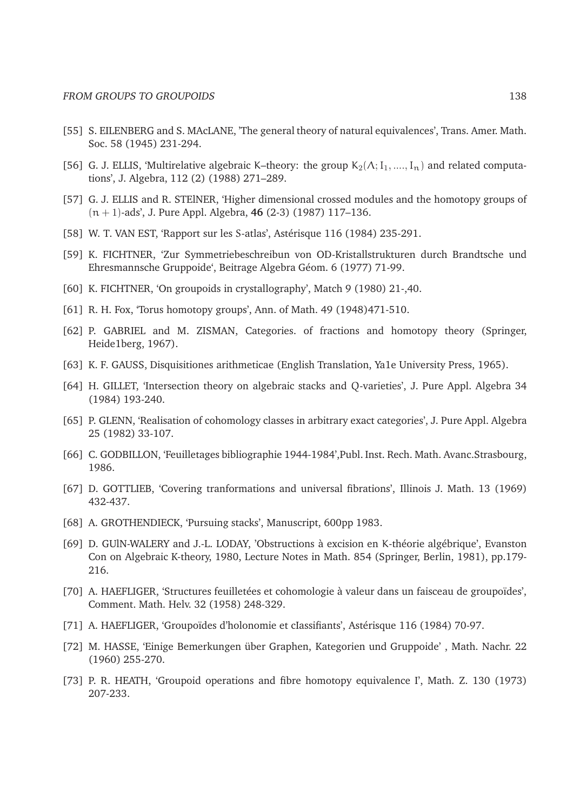- <span id="page-21-1"></span>[55] S. EILENBERG and S. MAcLANE, 'The general theory of natural equivalences', Trans. Amer. Math. Soc. 58 (1945) 231-294.
- <span id="page-21-17"></span>[56] G. J. ELLIS, 'Multirelative algebraic K–theory: the group  $K_2(\Lambda; I_1, ..., I_n)$  and related computations', J. Algebra, 112 (2) (1988) 271–289.
- <span id="page-21-16"></span>[57] G. J. ELLIS and R. STElNER, 'Higher dimensional crossed modules and the homotopy groups of (n + 1)-ads', J. Pure Appl. Algebra, **46** (2-3) (1987) 117–136.
- <span id="page-21-4"></span>[58] W. T. VAN EST, 'Rapport sur les S-atlas', Astérisque 116 (1984) 235-291.
- <span id="page-21-5"></span>[59] K. FICHTNER, 'Zur Symmetriebeschreibun von OD-Kristallstrukturen durch Brandtsche und Ehresmannsche Gruppoide', Beitrage Algebra Géom. 6 (1977) 71-99.
- <span id="page-21-6"></span>[60] K. FICHTNER, 'On groupoids in crystallography', Match 9 (1980) 21-,40.
- <span id="page-21-7"></span>[61] R. H. Fox, 'Torus homotopy groups', Ann. of Math. 49 (1948)471-510.
- <span id="page-21-10"></span>[62] P. GABRIEL and M. ZISMAN, Categories. of fractions and homotopy theory (Springer, Heide1berg, 1967).
- <span id="page-21-0"></span>[63] K. F. GAUSS, Disquisitiones arithmeticae (English Translation, Ya1e University Press, 1965).
- <span id="page-21-13"></span>[64] H. GILLET, 'Intersection theory on algebraic stacks and Q-varieties', J. Pure Appl. Algebra 34 (1984) 193-240.
- <span id="page-21-14"></span>[65] P. GLENN, 'Realisation of cohomology classes in arbitrary exact categories', J. Pure Appl. Algebra 25 (1982) 33-107.
- <span id="page-21-3"></span>[66] C. GODBILLON, 'Feuilletages bibliographie 1944-1984',Publ. Inst. Rech. Math. Avanc.Strasbourg, 1986.
- <span id="page-21-12"></span>[67] D. GOTTLIEB, 'Covering tranformations and universal fibrations', Illinois J. Math. 13 (1969) 432-437.
- <span id="page-21-8"></span>[68] A. GROTHENDIECK, 'Pursuing stacks', Manuscript, 600pp 1983.
- <span id="page-21-15"></span>[69] D. GUlN-WALERY and J.-L. LODAY, 'Obstructions à excision en K-théorie algébrique', Evanston Con on Algebraic K-theory, 1980, Lecture Notes in Math. 854 (Springer, Berlin, 1981), pp.179- 216.
- <span id="page-21-2"></span>[70] A. HAEFLIGER, 'Structures feuilletées et cohomologie à valeur dans un faisceau de groupoïdes', Comment. Math. Helv. 32 (1958) 248-329.
- <span id="page-21-11"></span>[71] A. HAEFLIGER, 'Groupoïdes d'holonomie et classifiants', Astérisque 116 (1984) 70-97.
- <span id="page-21-9"></span>[72] M. HASSE, 'Einige Bemerkungen über Graphen, Kategorien und Gruppoide', Math. Nachr. 22 (1960) 255-270.
- [73] P. R. HEATH, 'Groupoid operations and fibre homotopy equivalence I', Math. Z. 130 (1973) 207-233.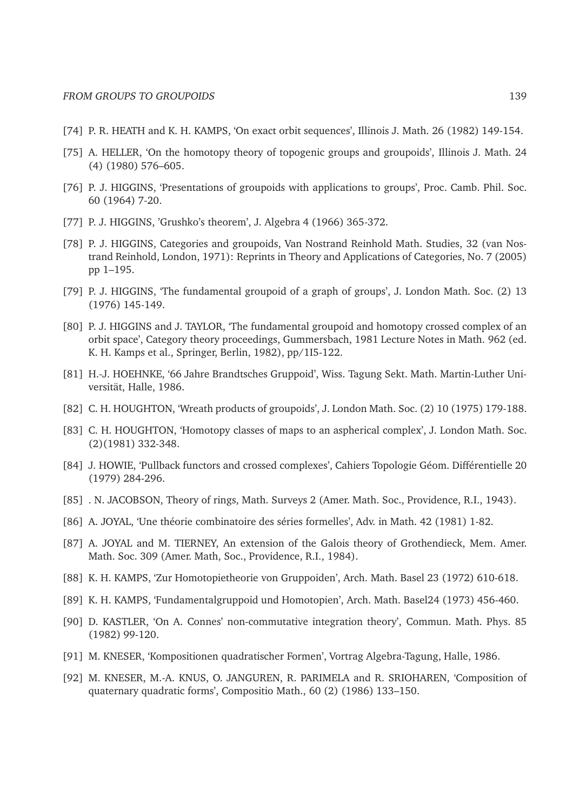- <span id="page-22-10"></span>[74] P. R. HEATH and K. H. KAMPS, 'On exact orbit sequences', Illinois J. Math. 26 (1982) 149-154.
- [75] A. HELLER, 'On the homotopy theory of topogenic groups and groupoids', Illinois J. Math. 24 (4) (1980) 576–605.
- <span id="page-22-5"></span>[76] P. J. HIGGINS, 'Presentations of groupoids with applications to groups', Proc. Camb. Phil. Soc. 60 (1964) 7-20.
- [77] P. J. HIGGINS, 'Grushko's theorem', J. Algebra 4 (1966) 365-372.
- <span id="page-22-6"></span>[78] P. J. HIGGINS, Categories and groupoids, Van Nostrand Reinhold Math. Studies, 32 (van Nostrand Reinhold, London, 1971): Reprints in Theory and Applications of Categories, No. 7 (2005) pp 1–195.
- [79] P. J. HIGGINS, 'The fundamental groupoid of a graph of groups', J. London Math. Soc. (2) 13 (1976) 145-149.
- <span id="page-22-7"></span>[80] P. J. HIGGINS and J. TAYLOR, 'The fundamental groupoid and homotopy crossed complex of an orbit space', Category theory proceedings, Gummersbach, 1981 Lecture Notes in Math. 962 (ed. K. H. Kamps et al., Springer, Berlin, 1982), pp/1I5-122.
- <span id="page-22-1"></span>[81] H.-J. HOEHNKE, '66 Jahre Brandtsches Gruppoid', Wiss. Tagung Sekt. Math. Martin-Luther Universität, Halle, 1986.
- [82] C. H. HOUGHTON, 'Wreath products of groupoids', J. London Math. Soc. (2) 10 (1975) 179-188.
- [83] C. H. HOUGHTON, 'Homotopy classes of maps to an aspherical complex', J. London Math. Soc. (2)(1981) 332-348.
- <span id="page-22-11"></span>[84] J. HOWIE, 'Pullback functors and crossed complexes', Cahiers Topologie Géom. Différentielle 20 (1979) 284-296.
- <span id="page-22-0"></span>[85] . N. JACOBSON, Theory of rings, Math. Surveys 2 (Amer. Math. Soc., Providence, R.I., 1943).
- <span id="page-22-4"></span>[86] A. JOYAL, 'Une théorie combinatoire des séries formelles', Adv. in Math. 42 (1981) 1-82.
- <span id="page-22-13"></span>[87] A. JOYAL and M. TIERNEY, An extension of the Galois theory of Grothendieck, Mem. Amer. Math. Soc. 309 (Amer. Math, Soc., Providence, R.I., 1984).
- <span id="page-22-8"></span>[88] K. H. KAMPS, 'Zur Homotopietheorie von Gruppoiden', Arch. Math. Basel 23 (1972) 610-618.
- <span id="page-22-9"></span>[89] K. H. KAMPS, 'Fundamentalgruppoid und Homotopien', Arch. Math. Basel24 (1973) 456-460.
- <span id="page-22-12"></span>[90] D. KASTLER, 'On A. Connes' non-commutative integration theory', Commun. Math. Phys. 85 (1982) 99-120.
- <span id="page-22-2"></span>[91] M. KNESER, 'Kompositionen quadratischer Formen', Vortrag Algebra-Tagung, Halle, 1986.
- <span id="page-22-3"></span>[92] M. KNESER, M.-A. KNUS, O. JANGUREN, R. PARIMELA and R. SRIOHAREN, 'Composition of quaternary quadratic forms', Compositio Math., 60 (2) (1986) 133–150.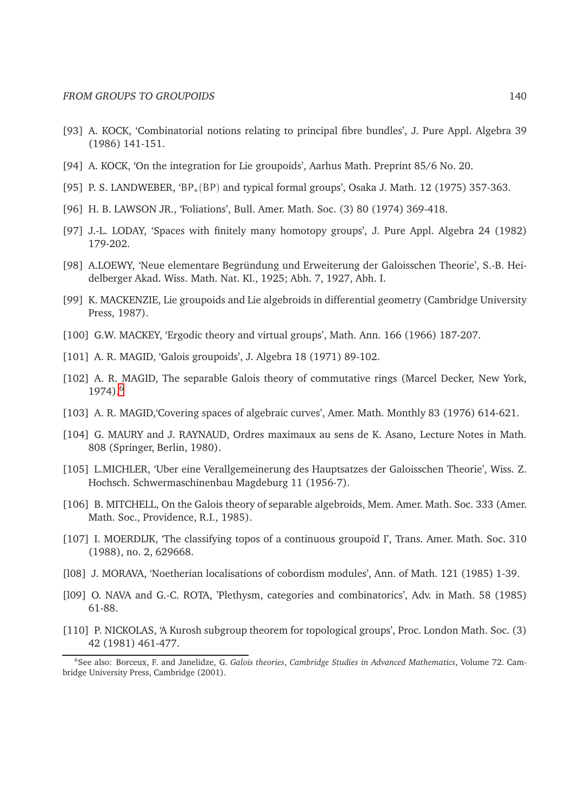- <span id="page-23-13"></span>[93] A. KOCK, 'Combinatorial notions relating to principal fibre bundles', J. Pure Appl. Algebra 39 (1986) 141-151.
- <span id="page-23-14"></span>[94] A. KOCK, 'On the integration for Lie groupoids', Aarhus Math. Preprint 85/6 No. 20.
- <span id="page-23-5"></span>[95] P. S. LANDWEBER, 'BP<sub>\*</sub>(BP) and typical formal groups', Osaka J. Math. 12 (1975) 357-363.
- <span id="page-23-3"></span>[96] H. B. LAWSON JR., 'Foliations', Bull. Amer. Math. Soc. (3) 80 (1974) 369-418.
- <span id="page-23-16"></span>[97] J.-L. LODAY, 'Spaces with finitely many homotopy groups', J. Pure Appl. Algebra 24 (1982) 179-202.
- <span id="page-23-1"></span>[98] A.LOEWY, 'Neue elementare Begründung und Erweiterung der Galoisschen Theorie', S.-B. Heidelberger Akad. Wiss. Math. Nat. Kl., 1925; Abh. 7, 1927, Abh. I.
- <span id="page-23-4"></span>[99] K. MACKENZIE, Lie groupoids and Lie algebroids in differential geometry (Cambridge University Press, 1987).
- <span id="page-23-12"></span>[100] G.W. MACKEY, 'Ergodic theory and virtual groups', Math. Ann. 166 (1966) 187-207.
- <span id="page-23-9"></span>[101] A. R. MAGID, 'Galois groupoids', J. Algebra 18 (1971) 89-102.
- <span id="page-23-10"></span>[102] A. R. MAGID, The separable Galois theory of commutative rings (Marcel Decker, New York,  $1974$ ).<sup>[6](#page-23-18)</sup>
- <span id="page-23-17"></span>[103] A. R. MAGID,'Covering spaces of algebraic curves', Amer. Math. Monthly 83 (1976) 614-621.
- <span id="page-23-0"></span>[104] G. MAURY and J. RAYNAUD, Ordres maximaux au sens de K. Asano, Lecture Notes in Math. 808 (Springer, Berlin, 1980).
- <span id="page-23-2"></span>[105] L.MICHLER, 'Uber eine Verallgemeinerung des Hauptsatzes der Galoisschen Theorie', Wiss. Z. Hochsch. Schwermaschinenbau Magdeburg 11 (1956-7).
- <span id="page-23-7"></span>[106] B. MITCHELL, On the Galois theory of separable algebroids, Mem. Amer. Math. Soc. 333 (Amer. Math. Soc., Providence, R.I., 1985).
- <span id="page-23-15"></span>[107] I. MOERDIJK, 'The classifying topos of a continuous groupoid I', Trans. Amer. Math. Soc. 310 (1988), no. 2, 629668.
- <span id="page-23-6"></span>[l08] J. MORAVA, 'Noetherian localisations of cobordism modules', Ann. of Math. 121 (1985) 1-39.
- <span id="page-23-8"></span>[109] O. NAVA and G.-C. ROTA, 'Plethysm, categories and combinatorics', Adv. in Math. 58 (1985) 61-88.
- <span id="page-23-11"></span>[110] P. NICKOLAS, 'A Kurosh subgroup theorem for topological groups', Proc. London Math. Soc. (3) 42 (1981) 461-477.

<span id="page-23-18"></span><sup>6</sup>See also: Borceux, F. and Janelidze, G. *Galois theories*, *Cambridge Studies in Advanced Mathematics*, Volume 72. Cambridge University Press, Cambridge (2001).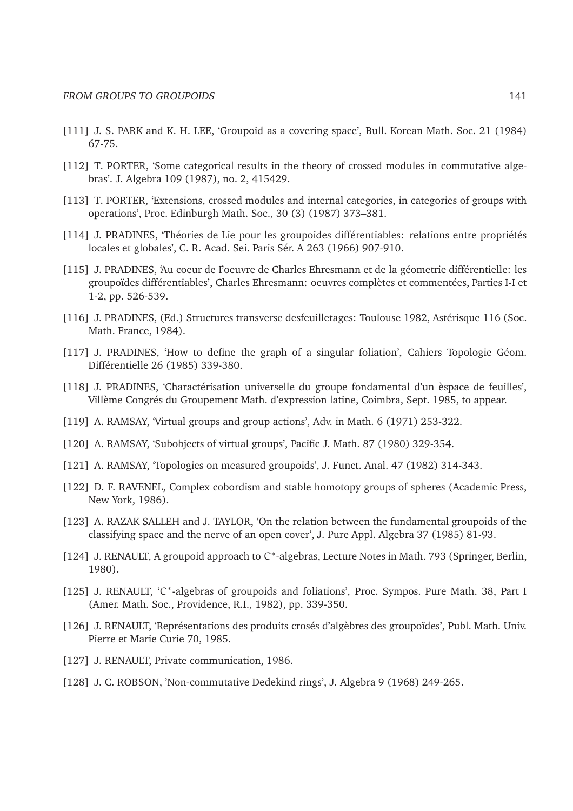- [111] J. S. PARK and K. H. LEE, 'Groupoid as a covering space', Bull. Korean Math. Soc. 21 (1984) 67-75.
- [112] T. PORTER, 'Some categorical results in the theory of crossed modules in commutative algebras'. J. Algebra 109 (1987), no. 2, 415429.
- <span id="page-24-13"></span>[113] T. PORTER, 'Extensions, crossed modules and internal categories, in categories of groups with operations', Proc. Edinburgh Math. Soc., 30 (3) (1987) 373–381.
- <span id="page-24-10"></span>[114] J. PRADINES, 'Théories de Lie pour les groupoides différentiables: relations entre propriétés locales et globales', C. R. Acad. Sei. Paris Sér. A 263 (1966) 907-910.
- <span id="page-24-11"></span>[115] J. PRADINES, 'Au coeur de I'oeuvre de Charles Ehresmann et de la géometrie différentielle: les groupoïdes différentiables', Charles Ehresmann: oeuvres complètes et commentées, Parties I-I et 1-2, pp. 526-539.
- <span id="page-24-12"></span>[116] J. PRADINES, (Ed.) Structures transverse desfeuilletages: Toulouse 1982, Astérisque 116 (Soc. Math. France, 1984).
- [117] J. PRADINES, 'How to define the graph of a singular foliation', Cahiers Topologie Géom. Différentielle 26 (1985) 339-380.
- <span id="page-24-3"></span>[118] J. PRADINES, 'Charactérisation universelle du groupe fondamental d'un èspace de feuilles', Villème Congrés du Groupement Math. d'expression latine, Coimbra, Sept. 1985, to appear.
- <span id="page-24-4"></span>[119] A. RAMSAY, 'Virtual groups and group actions', Adv. in Math. 6 (1971) 253-322.
- <span id="page-24-5"></span>[120] A. RAMSAY, 'Subobjects of virtual groups', Pacific J. Math. 87 (1980) 329-354.
- <span id="page-24-6"></span>[121] A. RAMSAY, 'Topologies on measured groupoids', J. Funct. Anal. 47 (1982) 314-343.
- <span id="page-24-1"></span>[122] D. F. RAVENEL, Complex cobordism and stable homotopy groups of spheres (Academic Press, New York, 1986).
- <span id="page-24-2"></span>[123] A. RAZAK SALLEH and J. TAYLOR, 'On the relation between the fundamental groupoids of the classifying space and the nerve of an open cover', J. Pure Appl. Algebra 37 (1985) 81-93.
- <span id="page-24-7"></span>[124] J. RENAULT, A groupoid approach to C\*-algebras, Lecture Notes in Math. 793 (Springer, Berlin, 1980).
- <span id="page-24-8"></span>[125] J. RENAULT, 'C\*-algebras of groupoids and foliations', Proc. Sympos. Pure Math. 38, Part I (Amer. Math. Soc., Providence, R.I., 1982), pp. 339-350.
- [126] J. RENAULT, 'Représentations des produits crosés d'algèbres des groupoïdes', Publ. Math. Univ. Pierre et Marie Curie 70, 1985.
- <span id="page-24-9"></span>[127] J. RENAULT, Private communication, 1986.
- <span id="page-24-0"></span>[128] J. C. ROBSON, 'Non-commutative Dedekind rings', J. Algebra 9 (1968) 249-265.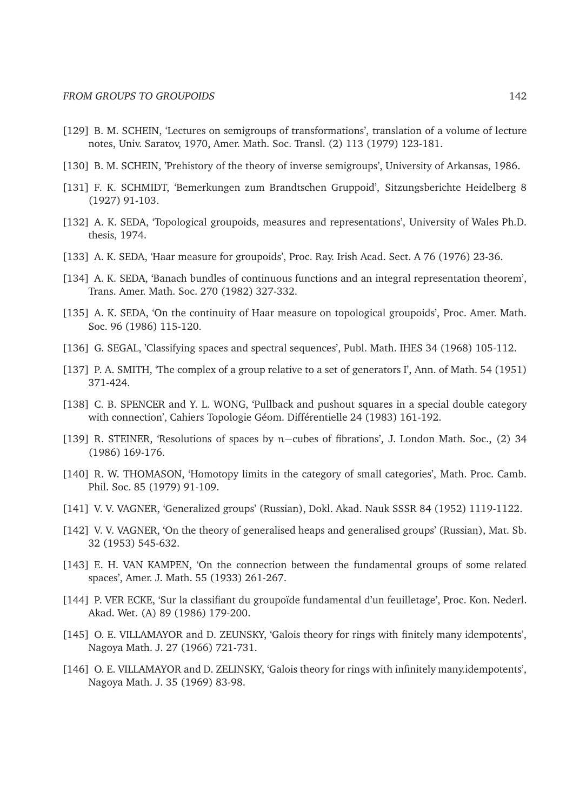- <span id="page-25-10"></span>[129] B. M. SCHEIN, 'Lectures on semigroups of transformations', translation of a volume of lecture notes, Univ. Saratov, 1970, Amer. Math. Soc. Transl. (2) 113 (1979) 123-181.
- <span id="page-25-11"></span>[130] B. M. SCHEIN, 'Prehistory of the theory of inverse semigroups', University of Arkansas, 1986.
- [131] F. K. SCHMIDT, 'Bemerkungen zum Brandtschen Gruppoid', Sitzungsberichte Heidelberg 8 (1927) 91-103.
- <span id="page-25-5"></span>[132] A. K. SEDA, 'Topological groupoids, measures and representations', University of Wales Ph.D. thesis, 1974.
- [133] A. K. SEDA, 'Haar measure for groupoids', Proc. Ray. Irish Acad. Sect. A 76 (1976) 23-36.
- [134] A. K. SEDA, 'Banach bundles of continuous functions and an integral representation theorem', Trans. Amer. Math. Soc. 270 (1982) 327-332.
- [135] A. K. SEDA, 'On the continuity of Haar measure on topological groupoids', Proc. Amer. Math. Soc. 96 (1986) 115-120.
- <span id="page-25-6"></span>[136] G. SEGAL, 'Classifying spaces and spectral sequences', Publ. Math. IHES 34 (1968) 105-112.
- <span id="page-25-2"></span>[137] P. A. SMITH, 'The complex of a group relative to a set of generators I', Ann. of Math. 54 (1951) 371-424.
- <span id="page-25-12"></span>[138] C. B. SPENCER and Y. L. WONG, 'Pullback and pushout squares in a special double category with connection', Cahiers Topologie Géom. Différentielle 24 (1983) 161-192.
- <span id="page-25-13"></span>[139] R. STEINER, 'Resolutions of spaces by n−cubes of fibrations', J. London Math. Soc., (2) 34 (1986) 169-176.
- <span id="page-25-7"></span>[140] R. W. THOMASON, 'Homotopy limits in the category of small categories', Math. Proc. Camb. Phil. Soc. 85 (1979) 91-109.
- <span id="page-25-8"></span>[141] V. V. VAGNER, 'Generalized groups' (Russian), Dokl. Akad. Nauk SSSR 84 (1952) 1119-1122.
- <span id="page-25-9"></span>[142] V. V. VAGNER, 'On the theory of generalised heaps and generalised groups' (Russian), Mat. Sb. 32 (1953) 545-632.
- <span id="page-25-0"></span>[143] E. H. VAN KAMPEN, 'On the connection between the fundamental groups of some related spaces', Amer. J. Math. 55 (1933) 261-267.
- <span id="page-25-1"></span>[144] P. VER ECKE, 'Sur la classifiant du groupoïde fundamental d'un feuilletage', Proc. Kon. Nederl. Akad. Wet. (A) 89 (1986) 179-200.
- <span id="page-25-3"></span>[145] O. E. VILLAMAYOR and D. ZEUNSKY, 'Galois theory for rings with finitely many idempotents', Nagoya Math. J. 27 (1966) 721-731.
- <span id="page-25-4"></span>[146] O. E. VILLAMAYOR and D. ZELINSKY, 'Galois theory for rings with infinitely many.idempotents', Nagoya Math. J. 35 (1969) 83-98.